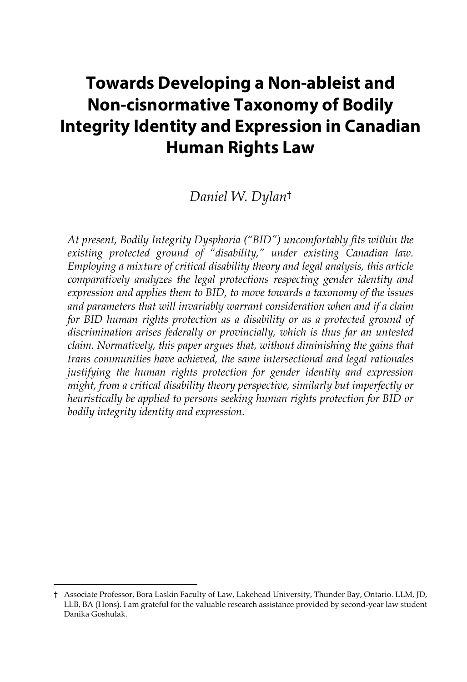# **Towards Developing a Non-ableist and Non-cisnormative Taxonomy of Bodily Integrity Identity and Expression in Canadian Human Rights Law**

## *Daniel W. Dylan*†

*At present, Bodily Integrity Dysphoria ("BID") uncomfortably fits within the existing protected ground of "disability," under existing Canadian law. Employing a mixture of critical disability theory and legal analysis, this article comparatively analyzes the legal protections respecting gender identity and expression and applies them to BID, to move towards a taxonomy of the issues and parameters that will invariably warrant consideration when and if a claim for BID human rights protection as a disability or as a protected ground of discrimination arises federally or provincially, which is thus far an untested claim. Normatively, this paper argues that, without diminishing the gains that trans communities have achieved, the same intersectional and legal rationales justifying the human rights protection for gender identity and expression might, from a critical disability theory perspective, similarly but imperfectly or heuristically be applied to persons seeking human rights protection for BID or bodily integrity identity and expression.*

<sup>†</sup> Associate Professor, Bora Laskin Faculty of Law, Lakehead University, Thunder Bay, Ontario. LLM, JD, LLB, BA (Hons). I am grateful for the valuable research assistance provided by second-year law student Danika Goshulak*.*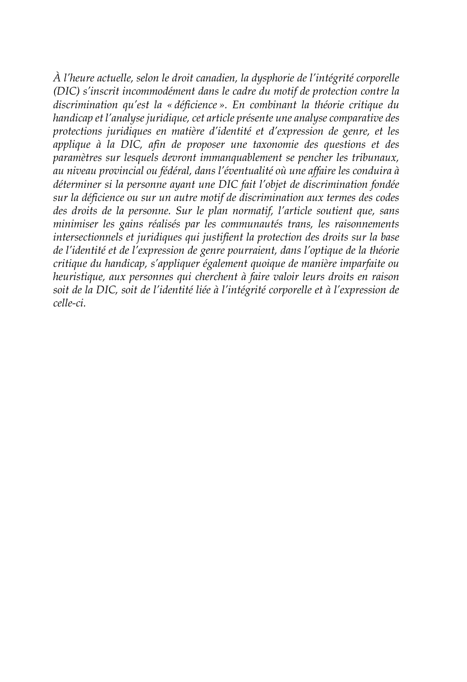*À l'heure actuelle, selon le droit canadien, la dysphorie de l'intégrité corporelle (DIC) s'inscrit incommodément dans le cadre du motif de protection contre la discrimination qu'est la « déficience ». En combinant la théorie critique du handicap et l'analyse juridique, cet article présente une analyse comparative des protections juridiques en matière d'identité et d'expression de genre, et les applique à la DIC, afin de proposer une taxonomie des questions et des paramètres sur lesquels devront immanquablement se pencher les tribunaux, au niveau provincial ou fédéral, dans l'éventualité où une affaire les conduira à déterminer si la personne ayant une DIC fait l'objet de discrimination fondée sur la déficience ou sur un autre motif de discrimination aux termes des codes des droits de la personne. Sur le plan normatif, l'article soutient que, sans minimiser les gains réalisés par les communautés trans, les raisonnements intersectionnels et juridiques qui justifient la protection des droits sur la base de l'identité et de l'expression de genre pourraient, dans l'optique de la théorie critique du handicap, s'appliquer également quoique de manière imparfaite ou heuristique, aux personnes qui cherchent à faire valoir leurs droits en raison soit de la DIC, soit de l'identité liée à l'intégrité corporelle et à l'expression de celle-ci.*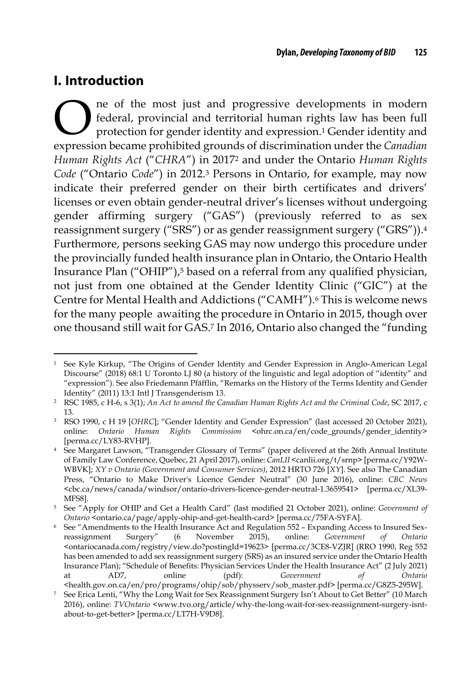## **I. Introduction**

ne of the most just and progressive developments in modern federal, provincial and territorial human rights law has been full protection for gender identity and expression.1 Gender identity and expressive developments in modern federal, provincial and territorial human rights law has been full protection for gender identity and expression.<sup>1</sup> Gender identity and expression became prohibited grounds of discriminat *Human Rights Act* ("*CHRA*") in 20172 and under the Ontario *Human Rights Code* ("Ontario *Code*") in 2012.3 Persons in Ontario, for example, may now indicate their preferred gender on their birth certificates and drivers' licenses or even obtain gender-neutral driver's licenses without undergoing gender affirming surgery ("GAS") (previously referred to as sex reassignment surgery ("SRS") or as gender reassignment surgery ("GRS")).4 Furthermore, persons seeking GAS may now undergo this procedure under the provincially funded health insurance plan in Ontario, the Ontario Health Insurance Plan ("OHIP"),<sup>5</sup> based on a referral from any qualified physician, not just from one obtained at the Gender Identity Clinic ("GIC") at the Centre for Mental Health and Addictions ("CAMH").<sup>6</sup> This is welcome news for the many people awaiting the procedure in Ontario in 2015, though over one thousand still wait for GAS.7 In 2016, Ontario also changed the "funding

<sup>1</sup> See Kyle Kirkup, "The Origins of Gender Identity and Gender Expression in Anglo-American Legal Discourse" (2018) 68:1 U Toronto LJ 80 (a history of the linguistic and legal adoption of "identity" and "expression"). See also Friedemann Pfäfflin, "Remarks on the History of the Terms Identity and Gender Identity" (2011) 13:1 Intl J Transgenderism 13.

<sup>2</sup> RSC 1985, c H-6, s 3(1); *An Act to amend the Canadian Human Rights Act and the Criminal Code*, SC 2017, c 13.

<sup>3</sup> RSO 1990, c H 19 [*OHRC*]; "Gender Identity and Gender Expression" (last accessed 20 October 2021), online: Ontario Human Rights Commission <ohrc.on.ca/en/code\_grounds/gender\_identity> [perma.cc/LY83-RVHP].

<sup>4</sup> See Margaret Lawson, "Transgender Glossary of Terms" (paper delivered at the 26th Annual Institute of Family Law Conference, Quebec, 21 April 2017), online: *CanLII* <canlii.org/t/srnp> [perma.cc/Y92W-WBVK]; *XY v Ontario (Government and Consumer Services)*, 2012 HRTO 726 [*XY*]. See also The Canadian Press, "Ontario to Make Driver's Licence Gender Neutral" (30 June 2016), online: *CBC News* <cbc.ca/news/canada/windsor/ontario-drivers-licence-gender-neutral-1.3659541> [perma.cc/XL39- MFS8].

<sup>5</sup> See "Apply for OHIP and Get a Health Card" (last modified 21 October 2021), online: *Government of Ontario* <ontario.ca/page/apply-ohip-and-get-health-card> [perma.cc/75FA-SYFA].

<sup>6</sup> See "Amendments to the Health Insurance Act and Regulation 552 – Expanding Access to Insured Sexreassignment Surgery" (6 November 2015), online: *Government of Ontario* <ontariocanada.com/registry/view.do?postingId=19623> [perma.cc/3CE8-VZJR] (RRO 1990, Reg 552 has been amended to add sex reassignment surgery (SRS) as an insured service under the Ontario Health Insurance Plan); "Schedule of Benefits: Physician Services Under the Health Insurance Act" (2 July 2021) at AD7, online (pdf): *Government of Ontario*

<sup>&</sup>lt;health.gov.on.ca/en/pro/programs/ohip/sob/physserv/sob\_master.pdf> [perma.cc/G8Z5-295W]. <sup>7</sup> See Erica Lenti, "Why the Long Wait for Sex Reassignment Surgery Isn't About to Get Better" (10 March

<sup>2016),</sup> online: *TVOntario* <www.tvo.org/article/why-the-long-wait-for-sex-reassignment-surgery-isntabout-to-get-better> [perma.cc/LT7H-V9D8].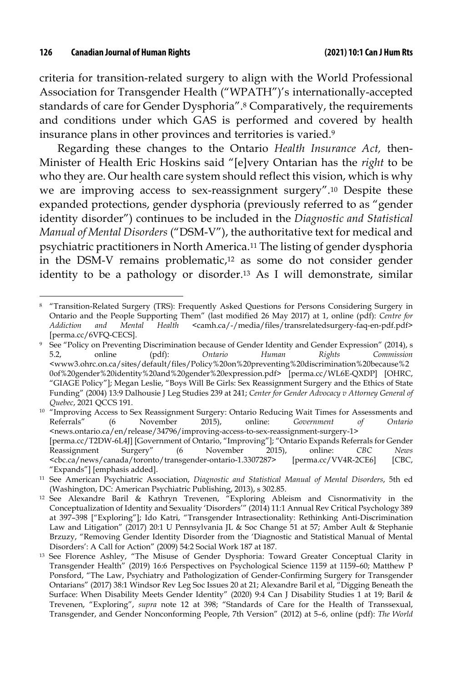criteria for transition-related surgery to align with the World Professional Association for Transgender Health ("WPATH")'s internationally-accepted standards of care for Gender Dysphoria".8 Comparatively, the requirements and conditions under which GAS is performed and covered by health insurance plans in other provinces and territories is varied.9

Regarding these changes to the Ontario *Health Insurance Act,* then-Minister of Health Eric Hoskins said "[e]very Ontarian has the *right* to be who they are. Our health care system should reflect this vision, which is why we are improving access to sex-reassignment surgery".10 Despite these expanded protections, gender dysphoria (previously referred to as "gender identity disorder") continues to be included in the *Diagnostic and Statistical Manual of Mental Disorders* ("DSM-V"), the authoritative text for medical and psychiatric practitioners in North America.11 The listing of gender dysphoria in the DSM-V remains problematic,12 as some do not consider gender identity to be a pathology or disorder.13 As I will demonstrate, similar

<sup>8</sup> "Transition-Related Surgery (TRS): Frequently Asked Questions for Persons Considering Surgery in Ontario and the People Supporting Them" (last modified 26 May 2017) at 1, online (pdf): *Centre for Addiction and Mental Health* <camh.ca/-/media/files/transrelatedsurgery-faq-en-pdf.pdf> [perma.cc/6VFQ-CECS].

<sup>9</sup> See "Policy on Preventing Discrimination because of Gender Identity and Gender Expression" (2014), s 5.2, online (pdf): *Ontario Human Rights Commission* <www3.ohrc.on.ca/sites/default/files/Policy%20on%20preventing%20discrimination%20because%2 0of%20gender%20identity%20and%20gender%20expression.pdf> [perma.cc/WL6E-QXDP] [OHRC, "GIAGE Policy"]; Megan Leslie, "Boys Will Be Girls: Sex Reassignment Surgery and the Ethics of State Funding" (2004) 13:9 Dalhousie J Leg Studies 239 at 241; *Center for Gender Advocacy v Attorney General of Quebec*, 2021 QCCS 191.

<sup>&</sup>lt;sup>10</sup> "Improving Access to Sex Reassignment Surgery: Ontario Reducing Wait Times for Assessments and Referrals" (6 November 2015), online: *Government of Ontario* <news.ontario.ca/en/release/34796/improving-access-to-sex-reassignment-surgery-1> [perma.cc/T2DW-6L4J] [Government of Ontario, "Improving"]; "Ontario Expands Referrals for Gender Reassignment Surgery" (6 November 2015), online: *CBC News* <cbc.ca/news/canada/toronto/transgender-ontario-1.3307287> [perma.cc/VV4R-2CE6] [CBC, "Expands"] [emphasis added].

<sup>11</sup> See American Psychiatric Association, *Diagnostic and Statistical Manual of Mental Disorders*, 5th ed (Washington, DC: American Psychiatric Publishing, 2013), s 302.85.

<sup>12</sup> See Alexandre Baril & Kathryn Trevenen, "Exploring Ableism and Cisnormativity in the Conceptualization of Identity and Sexuality 'Disorders'" (2014) 11:1 Annual Rev Critical Psychology 389 at 397–398 ["Exploring"]; Ido Katri, "Transgender Intrasectionality: Rethinking Anti-Discrimination Law and Litigation" (2017) 20:1 U Pennsylvania JL & Soc Change 51 at 57; Amber Ault & Stephanie Brzuzy, "Removing Gender Identity Disorder from the 'Diagnostic and Statistical Manual of Mental Disorders': A Call for Action" (2009) 54:2 Social Work 187 at 187.

<sup>&</sup>lt;sup>13</sup> See Florence Ashley, "The Misuse of Gender Dysphoria: Toward Greater Conceptual Clarity in Transgender Health" (2019) 16:6 Perspectives on Psychological Science 1159 at 1159–60; Matthew P Ponsford, "The Law, Psychiatry and Pathologization of Gender-Confirming Surgery for Transgender Ontarians" (2017) 38:1 Windsor Rev Leg Soc Issues 20 at 21; Alexandre Baril et al, "Digging Beneath the Surface: When Disability Meets Gender Identity" (2020) 9:4 Can J Disability Studies 1 at 19; Baril & Trevenen, "Exploring", *supra* note 12 at 398; "Standards of Care for the Health of Transsexual, Transgender, and Gender Nonconforming People, 7th Version" (2012) at 5–6, online (pdf): *The World*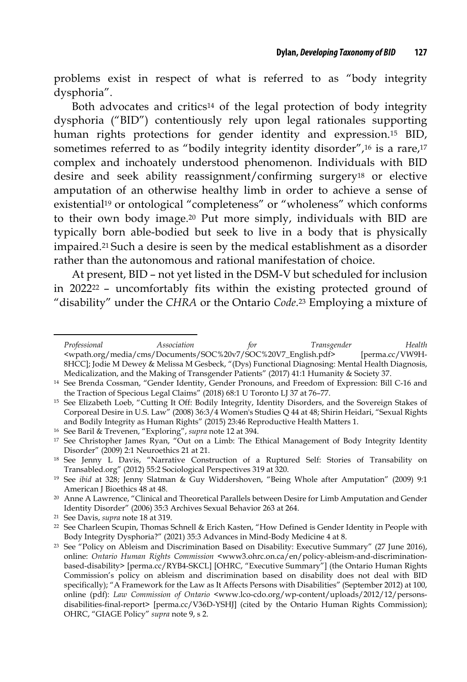problems exist in respect of what is referred to as "body integrity dysphoria".

Both advocates and critics14 of the legal protection of body integrity dysphoria ("BID") contentiously rely upon legal rationales supporting human rights protections for gender identity and expression.15 BID, sometimes referred to as "bodily integrity identity disorder",<sup>16</sup> is a rare,<sup>17</sup> complex and inchoately understood phenomenon. Individuals with BID desire and seek ability reassignment/confirming surgery18 or elective amputation of an otherwise healthy limb in order to achieve a sense of existential<sup>19</sup> or ontological "completeness" or "wholeness" which conforms to their own body image.20 Put more simply, individuals with BID are typically born able-bodied but seek to live in a body that is physically impaired.21 Such a desire is seen by the medical establishment as a disorder rather than the autonomous and rational manifestation of choice.

At present, BID – not yet listed in the DSM-V but scheduled for inclusion in 202222 – uncomfortably fits within the existing protected ground of "disability" under the *CHRA* or the Ontario *Code*.23 Employing a mixture of

*Professional Association for Transgender Health* <wpath.org/media/cms/Documents/SOC%20v7/SOC%20V7\_English.pdf> [perma.cc/VW9H-8HCC]; Jodie M Dewey & Melissa M Gesbeck, "(Dys) Functional Diagnosing: Mental Health Diagnosis, Medicalization, and the Making of Transgender Patients" (2017) 41:1 Humanity & Society 37.

<sup>14</sup> See Brenda Cossman, "Gender Identity, Gender Pronouns, and Freedom of Expression: Bill C-16 and the Traction of Specious Legal Claims" (2018) 68:1 U Toronto LJ 37 at 76–77.

<sup>&</sup>lt;sup>15</sup> See Elizabeth Loeb, "Cutting It Off: Bodily Integrity, Identity Disorders, and the Sovereign Stakes of Corporeal Desire in U.S. Law" (2008) 36:3/4 Women's Studies Q 44 at 48; Shirin Heidari, "Sexual Rights and Bodily Integrity as Human Rights" (2015) 23:46 Reproductive Health Matters 1.

<sup>16</sup> See Baril & Trevenen, "Exploring", *supra* note 12 at 394.

<sup>&</sup>lt;sup>17</sup> See Christopher James Ryan, "Out on a Limb: The Ethical Management of Body Integrity Identity Disorder" (2009) 2:1 Neuroethics 21 at 21.

<sup>18</sup> See Jenny L Davis, "Narrative Construction of a Ruptured Self: Stories of Transability on Transabled.org" (2012) 55:2 Sociological Perspectives 319 at 320.

<sup>19</sup> See *ibid* at 328; Jenny Slatman & Guy Widdershoven, "Being Whole after Amputation" (2009) 9:1 American J Bioethics 48 at 48.

<sup>20</sup> Anne A Lawrence, "Clinical and Theoretical Parallels between Desire for Limb Amputation and Gender Identity Disorder" (2006) 35:3 Archives Sexual Behavior 263 at 264.

<sup>21</sup> See Davis, *supra* note 18 at 319.

<sup>22</sup> See Charleen Scupin, Thomas Schnell & Erich Kasten, "How Defined is Gender Identity in People with Body Integrity Dysphoria?" (2021) 35:3 Advances in Mind-Body Medicine 4 at 8.

<sup>23</sup> See "Policy on Ableism and Discrimination Based on Disability: Executive Summary" (27 June 2016), online: *Ontario Human Rights Commission* <www3.ohrc.on.ca/en/policy-ableism-and-discriminationbased-disability> [perma.cc/RYB4-SKCL] [OHRC, "Executive Summary"] (the Ontario Human Rights Commission's policy on ableism and discrimination based on disability does not deal with BID specifically); "A Framework for the Law as It Affects Persons with Disabilities" (September 2012) at 100, online (pdf): *Law Commission of Ontario* <www.lco-cdo.org/wp-content/uploads/2012/12/personsdisabilities-final-report> [perma.cc/V36D-YSHJ] (cited by the Ontario Human Rights Commission); OHRC, "GIAGE Policy" *supra* note 9, s 2.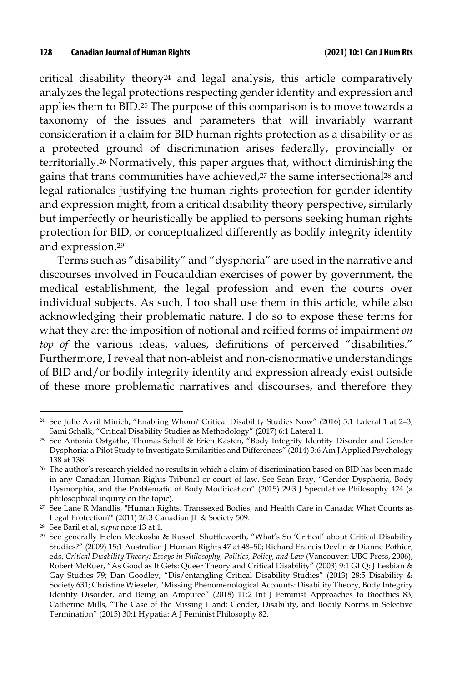critical disability theory24 and legal analysis, this article comparatively analyzes the legal protections respecting gender identity and expression and applies them to BID.25 The purpose of this comparison is to move towards a taxonomy of the issues and parameters that will invariably warrant consideration if a claim for BID human rights protection as a disability or as a protected ground of discrimination arises federally, provincially or territorially.26 Normatively, this paper argues that, without diminishing the gains that trans communities have achieved,<sup>27</sup> the same intersectional<sup>28</sup> and legal rationales justifying the human rights protection for gender identity and expression might, from a critical disability theory perspective, similarly but imperfectly or heuristically be applied to persons seeking human rights protection for BID, or conceptualized differently as bodily integrity identity and expression.29

Terms such as "disability" and "dysphoria" are used in the narrative and discourses involved in Foucauldian exercises of power by government, the medical establishment, the legal profession and even the courts over individual subjects. As such, I too shall use them in this article, while also acknowledging their problematic nature. I do so to expose these terms for what they are: the imposition of notional and reified forms of impairment *on top of* the various ideas, values, definitions of perceived "disabilities." Furthermore, I reveal that non-ableist and non-cisnormative understandings of BID and/or bodily integrity identity and expression already exist outside of these more problematic narratives and discourses, and therefore they

<sup>24</sup> See Julie Avril Minich, "Enabling Whom? Critical Disability Studies Now" (2016) 5:1 Lateral 1 at 2–3; Sami Schalk, "Critical Disability Studies as Methodology" (2017) 6:1 Lateral 1.

<sup>25</sup> See Antonia Ostgathe, Thomas Schell & Erich Kasten, "Body Integrity Identity Disorder and Gender Dysphoria: a Pilot Study to Investigate Similarities and Differences" (2014) 3:6 Am J Applied Psychology 138 at 138.

<sup>26</sup> The author's research yielded no results in which a claim of discrimination based on BID has been made in any Canadian Human Rights Tribunal or court of law. See Sean Bray, "Gender Dysphoria, Body Dysmorphia, and the Problematic of Body Modification" (2015) 29:3 J Speculative Philosophy 424 (a philosophical inquiry on the topic).

<sup>27</sup> See Lane R Mandlis, "Human Rights, Transsexed Bodies, and Health Care in Canada: What Counts as Legal Protection?" (2011) 26:3 Canadian JL & Society 509.

<sup>28</sup> See Baril et al, *supra* note 13 at 1.

<sup>29</sup> See generally Helen Meekosha & Russell Shuttleworth, "What's So 'Critical' about Critical Disability Studies?" (2009) 15:1 Australian J Human Rights 47 at 48–50; Richard Francis Devlin & Dianne Pothier, eds, *Critical Disability Theory: Essays in Philosophy, Politics, Policy, and Law* (Vancouver: UBC Press, 2006); Robert McRuer, "As Good as It Gets: Queer Theory and Critical Disability" (2003) 9:1 GLQ: J Lesbian & Gay Studies 79; Dan Goodley, "Dis/entangling Critical Disability Studies" (2013) 28:5 Disability & Society 631; Christine Wieseler, "Missing Phenomenological Accounts: Disability Theory, Body Integrity Identity Disorder, and Being an Amputee" (2018) 11:2 Int J Feminist Approaches to Bioethics 83; Catherine Mills, "The Case of the Missing Hand: Gender, Disability, and Bodily Norms in Selective Termination" (2015) 30:1 Hypatia: A J Feminist Philosophy 82.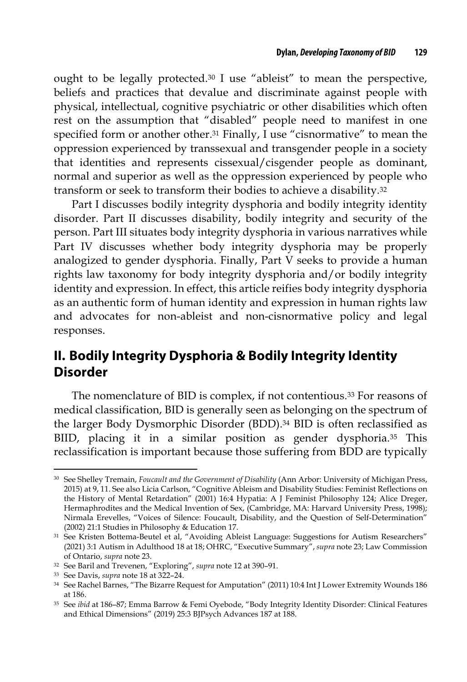ought to be legally protected.30 I use "ableist" to mean the perspective, beliefs and practices that devalue and discriminate against people with physical, intellectual, cognitive psychiatric or other disabilities which often rest on the assumption that "disabled" people need to manifest in one specified form or another other.<sup>31</sup> Finally, I use "cisnormative" to mean the oppression experienced by transsexual and transgender people in a society that identities and represents cissexual/cisgender people as dominant, normal and superior as well as the oppression experienced by people who transform or seek to transform their bodies to achieve a disability.32

Part I discusses bodily integrity dysphoria and bodily integrity identity disorder. Part II discusses disability, bodily integrity and security of the person. Part III situates body integrity dysphoria in various narratives while Part IV discusses whether body integrity dysphoria may be properly analogized to gender dysphoria. Finally, Part V seeks to provide a human rights law taxonomy for body integrity dysphoria and/or bodily integrity identity and expression. In effect, this article reifies body integrity dysphoria as an authentic form of human identity and expression in human rights law and advocates for non-ableist and non-cisnormative policy and legal responses.

## **II. Bodily Integrity Dysphoria & Bodily Integrity Identity Disorder**

The nomenclature of BID is complex, if not contentious.33 For reasons of medical classification, BID is generally seen as belonging on the spectrum of the larger Body Dysmorphic Disorder (BDD).<sup>34</sup> BID is often reclassified as BIID, placing it in a similar position as gender dysphoria.35 This reclassification is important because those suffering from BDD are typically

<sup>30</sup> See Shelley Tremain, *Foucault and the Government of Disability* (Ann Arbor: University of Michigan Press, 2015) at 9, 11. See also Licia Carlson, "Cognitive Ableism and Disability Studies: Feminist Reflections on the History of Mental Retardation" (2001) 16:4 Hypatia: A J Feminist Philosophy 124; Alice Dreger, Hermaphrodites and the Medical Invention of Sex, (Cambridge, MA: Harvard University Press, 1998); Nirmala Erevelles, "Voices of Silence: Foucault, Disability, and the Question of Self-Determination" (2002) 21:1 Studies in Philosophy & Education 17.

<sup>31</sup> See Kristen Bottema-Beutel et al, "Avoiding Ableist Language: Suggestions for Autism Researchers" (2021) 3:1 Autism in Adulthood 18 at 18; OHRC, "Executive Summary", *supra* note 23; Law Commission of Ontario, *supra* note 23.

<sup>32</sup> See Baril and Trevenen, "Exploring", *supra* note 12 at 390–91.

<sup>33</sup> See Davis, *supra* note 18 at 322–24.

<sup>34</sup> See Rachel Barnes, "The Bizarre Request for Amputation" (2011) 10:4 Int J Lower Extremity Wounds 186 at 186.

<sup>35</sup> See *ibid* at 186–87; Emma Barrow & Femi Oyebode, "Body Integrity Identity Disorder: Clinical Features and Ethical Dimensions" (2019) 25:3 BJPsych Advances 187 at 188.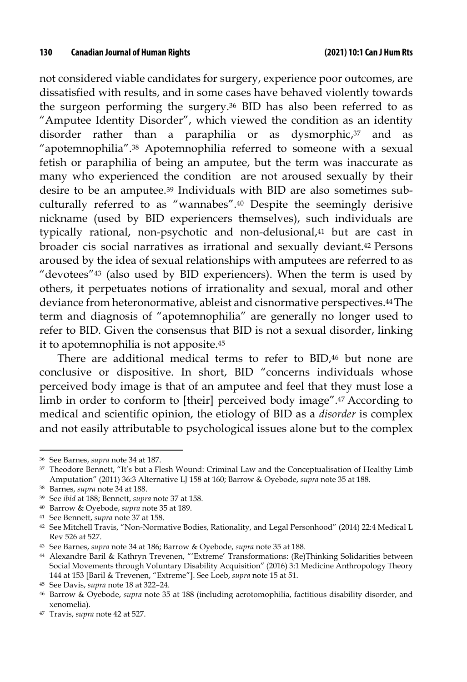not considered viable candidates for surgery, experience poor outcomes, are dissatisfied with results, and in some cases have behaved violently towards the surgeon performing the surgery.36 BID has also been referred to as "Amputee Identity Disorder", which viewed the condition as an identity disorder rather than a paraphilia or as dysmorphic,<sup>37</sup> and as "apotemnophilia".38 Apotemnophilia referred to someone with a sexual fetish or paraphilia of being an amputee, but the term was inaccurate as many who experienced the condition are not aroused sexually by their desire to be an amputee.39 Individuals with BID are also sometimes subculturally referred to as "wannabes".40 Despite the seemingly derisive nickname (used by BID experiencers themselves), such individuals are typically rational, non-psychotic and non-delusional,<sup>41</sup> but are cast in broader cis social narratives as irrational and sexually deviant.42 Persons aroused by the idea of sexual relationships with amputees are referred to as "devotees"43 (also used by BID experiencers). When the term is used by others, it perpetuates notions of irrationality and sexual, moral and other deviance from heteronormative, ableist and cisnormative perspectives.44The term and diagnosis of "apotemnophilia" are generally no longer used to refer to BID. Given the consensus that BID is not a sexual disorder, linking it to apotemnophilia is not apposite.45

There are additional medical terms to refer to BID,46 but none are conclusive or dispositive. In short, BID "concerns individuals whose perceived body image is that of an amputee and feel that they must lose a limb in order to conform to [their] perceived body image".47 According to medical and scientific opinion, the etiology of BID as a *disorder* is complex and not easily attributable to psychological issues alone but to the complex

<sup>36</sup> See Barnes, *supra* note 34 at 187.

<sup>37</sup> Theodore Bennett, "It's but a Flesh Wound: Criminal Law and the Conceptualisation of Healthy Limb Amputation" (2011) 36:3 Alternative LJ 158 at 160; Barrow & Oyebode, *supra* note 35 at 188.

<sup>38</sup> Barnes, *supra* note 34 at 188.

<sup>39</sup> See *ibid* at 188; Bennett, *supra* note 37 at 158.

<sup>40</sup> Barrow & Oyebode, *supra* note 35 at 189.

<sup>41</sup> See Bennett, *supra* note 37 at 158.

<sup>42</sup> See Mitchell Travis, "Non-Normative Bodies, Rationality, and Legal Personhood" (2014) 22:4 Medical L Rev 526 at 527.

<sup>43</sup> See Barnes, *supra* note 34 at 186; Barrow & Oyebode, *supra* note 35 at 188.

<sup>44</sup> Alexandre Baril & Kathryn Trevenen, "'Extreme' Transformations: (Re)Thinking Solidarities between Social Movements through Voluntary Disability Acquisition" (2016) 3:1 Medicine Anthropology Theory 144 at 153 [Baril & Trevenen, "Extreme"]. See Loeb, *supra* note 15 at 51.

<sup>45</sup> See Davis, *supra* note 18 at 322–24.

<sup>46</sup> Barrow & Oyebode, *supra* note 35 at 188 (including acrotomophilia, factitious disability disorder, and xenomelia).

<sup>47</sup> Travis, *supra* note 42 at 527.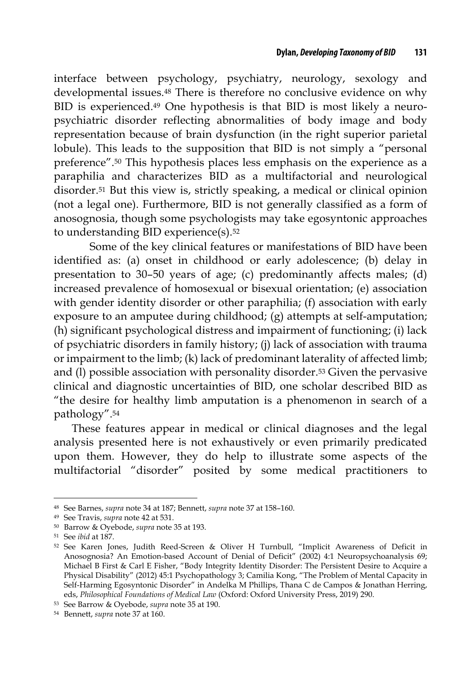interface between psychology, psychiatry, neurology, sexology and developmental issues.48 There is therefore no conclusive evidence on why BID is experienced.49 One hypothesis is that BID is most likely a neuropsychiatric disorder reflecting abnormalities of body image and body representation because of brain dysfunction (in the right superior parietal lobule). This leads to the supposition that BID is not simply a "personal preference".50 This hypothesis places less emphasis on the experience as a paraphilia and characterizes BID as a multifactorial and neurological disorder.51 But this view is, strictly speaking, a medical or clinical opinion (not a legal one). Furthermore, BID is not generally classified as a form of anosognosia, though some psychologists may take egosyntonic approaches to understanding BID experience(s).52

Some of the key clinical features or manifestations of BID have been identified as: (a) onset in childhood or early adolescence; (b) delay in presentation to 30–50 years of age; (c) predominantly affects males; (d) increased prevalence of homosexual or bisexual orientation; (e) association with gender identity disorder or other paraphilia; (f) association with early exposure to an amputee during childhood; (g) attempts at self-amputation; (h) significant psychological distress and impairment of functioning; (i) lack of psychiatric disorders in family history; (j) lack of association with trauma or impairment to the limb; (k) lack of predominant laterality of affected limb; and (l) possible association with personality disorder.53 Given the pervasive clinical and diagnostic uncertainties of BID, one scholar described BID as "the desire for healthy limb amputation is a phenomenon in search of a pathology".54

These features appear in medical or clinical diagnoses and the legal analysis presented here is not exhaustively or even primarily predicated upon them. However, they do help to illustrate some aspects of the multifactorial "disorder" posited by some medical practitioners to

<sup>48</sup> See Barnes, *supra* note 34 at 187; Bennett, *supra* note 37 at 158–160.

<sup>49</sup> See Travis, *supra* note 42 at 531.

<sup>50</sup> Barrow & Oyebode, *supra* note 35 at 193.

<sup>51</sup> See *ibid* at 187.

<sup>52</sup> See Karen Jones, Judith Reed-Screen & Oliver H Turnbull, "Implicit Awareness of Deficit in Anosognosia? An Emotion-based Account of Denial of Deficit" (2002) 4:1 Neuropsychoanalysis 69; Michael B First & Carl E Fisher, "Body Integrity Identity Disorder: The Persistent Desire to Acquire a Physical Disability" (2012) 45:1 Psychopathology 3; Camilia Kong, "The Problem of Mental Capacity in Self-Harming Egosyntonic Disorder" in Andelka M Phillips, Thana C de Campos & Jonathan Herring, eds, *Philosophical Foundations of Medical Law* (Oxford: Oxford University Press, 2019) 290.

<sup>53</sup> See Barrow & Oyebode, *supra* note 35 at 190.

<sup>54</sup> Bennett, *supra* note 37 at 160.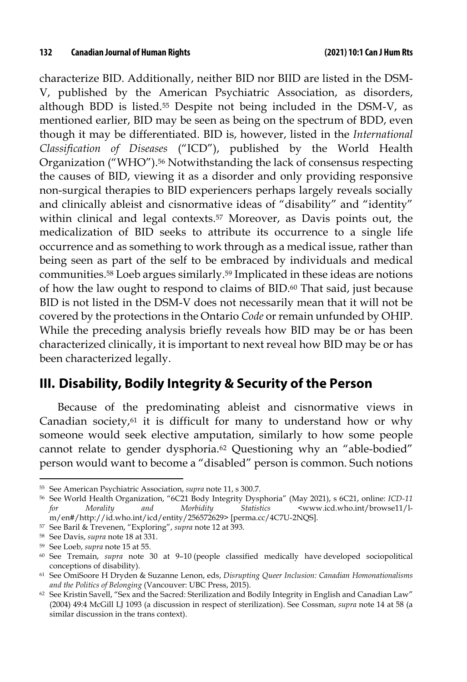characterize BID. Additionally, neither BID nor BIID are listed in the DSM-V, published by the American Psychiatric Association, as disorders, although BDD is listed.55 Despite not being included in the DSM-V, as mentioned earlier, BID may be seen as being on the spectrum of BDD, even though it may be differentiated. BID is, however, listed in the *International Classification of Diseases* ("ICD"), published by the World Health Organization ("WHO").56 Notwithstanding the lack of consensus respecting the causes of BID, viewing it as a disorder and only providing responsive non-surgical therapies to BID experiencers perhaps largely reveals socially and clinically ableist and cisnormative ideas of "disability" and "identity" within clinical and legal contexts.57 Moreover, as Davis points out, the medicalization of BID seeks to attribute its occurrence to a single life occurrence and as something to work through as a medical issue, rather than being seen as part of the self to be embraced by individuals and medical communities.58 Loeb argues similarly.59 Implicated in these ideas are notions of how the law ought to respond to claims of BID.60 That said, just because BID is not listed in the DSM-V does not necessarily mean that it will not be covered by the protections in the Ontario *Code* or remain unfunded by OHIP. While the preceding analysis briefly reveals how BID may be or has been characterized clinically, it is important to next reveal how BID may be or has been characterized legally.

## **III. Disability, Bodily Integrity & Security of the Person**

Because of the predominating ableist and cisnormative views in Canadian society,61 it is difficult for many to understand how or why someone would seek elective amputation, similarly to how some people cannot relate to gender dysphoria.62 Questioning why an "able-bodied" person would want to become a "disabled" person is common. Such notions

<sup>55</sup> See American Psychiatric Association, *supra* note 11, s 300.7.

<sup>56</sup> See World Health Organization, "6C21 Body Integrity Dysphoria" (May 2021), s 6C21, online: *ICD-11 for Morality and Morbidity Statistics* <www.icd.who.int/browse11/lm/en#/http://id.who.int/icd/entity/256572629> [perma.cc/4C7U-2NQS].

<sup>57</sup> See Baril & Trevenen, "Exploring", *supra* note 12 at 393.

<sup>58</sup> See Davis, *supra* note 18 at 331.

<sup>59</sup> See Loeb, *supra* note 15 at 55.

<sup>60</sup> See Tremain, *supra* note 30 at 9–10 (people classified medically have developed sociopolitical conceptions of disability).

<sup>61</sup> See OmiSoore H Dryden & Suzanne Lenon, eds, *Disrupting Queer Inclusion: Canadian Homonationalisms and the Politics of Belonging* (Vancouver: UBC Press, 2015).

<sup>62</sup> See Kristin Savell, "Sex and the Sacred: Sterilization and Bodily Integrity in English and Canadian Law" (2004) 49:4 McGill LJ 1093 (a discussion in respect of sterilization). See Cossman, *supra* note 14 at 58 (a similar discussion in the trans context).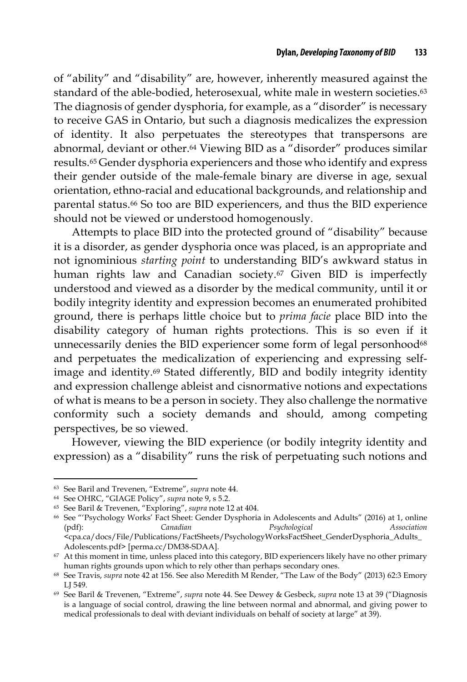of "ability" and "disability" are, however, inherently measured against the standard of the able-bodied, heterosexual, white male in western societies.<sup>63</sup> The diagnosis of gender dysphoria, for example, as a "disorder" is necessary to receive GAS in Ontario, but such a diagnosis medicalizes the expression of identity. It also perpetuates the stereotypes that transpersons are abnormal, deviant or other.64 Viewing BID as a "disorder" produces similar results.65 Gender dysphoria experiencers and those who identify and express their gender outside of the male-female binary are diverse in age, sexual orientation, ethno-racial and educational backgrounds, and relationship and parental status.66 So too are BID experiencers, and thus the BID experience should not be viewed or understood homogenously.

Attempts to place BID into the protected ground of "disability" because it is a disorder, as gender dysphoria once was placed, is an appropriate and not ignominious *starting point* to understanding BID's awkward status in human rights law and Canadian society.<sup>67</sup> Given BID is imperfectly understood and viewed as a disorder by the medical community, until it or bodily integrity identity and expression becomes an enumerated prohibited ground, there is perhaps little choice but to *prima facie* place BID into the disability category of human rights protections. This is so even if it unnecessarily denies the BID experiencer some form of legal personhood<sup>68</sup> and perpetuates the medicalization of experiencing and expressing selfimage and identity.69 Stated differently, BID and bodily integrity identity and expression challenge ableist and cisnormative notions and expectations of what is means to be a person in society. They also challenge the normative conformity such a society demands and should, among competing perspectives, be so viewed.

However, viewing the BID experience (or bodily integrity identity and expression) as a "disability" runs the risk of perpetuating such notions and

<sup>63</sup> See Baril and Trevenen, "Extreme", *supra* note 44.

<sup>64</sup> See OHRC, "GIAGE Policy", *supra* note 9, s 5.2.

<sup>65</sup> See Baril & Trevenen, "Exploring", *supra* note 12 at 404.

<sup>66</sup> See "'Psychology Works' Fact Sheet: Gender Dysphoria in Adolescents and Adults" (2016) at 1, online (pdf): *Canadian Psychological Association* <cpa.ca/docs/File/Publications/FactSheets/PsychologyWorksFactSheet\_GenderDysphoria\_Adults\_

Adolescents.pdf> [perma.cc/DM38-SDAA]. <sup>67</sup> At this moment in time, unless placed into this category, BID experiencers likely have no other primary human rights grounds upon which to rely other than perhaps secondary ones.

<sup>68</sup> See Travis, *supra* note 42 at 156. See also Meredith M Render, "The Law of the Body" (2013) 62:3 Emory LJ 549.

<sup>69</sup> See Baril & Trevenen, "Extreme", *supra* note 44. See Dewey & Gesbeck, *supra* note 13 at 39 ("Diagnosis is a language of social control, drawing the line between normal and abnormal, and giving power to medical professionals to deal with deviant individuals on behalf of society at large" at 39).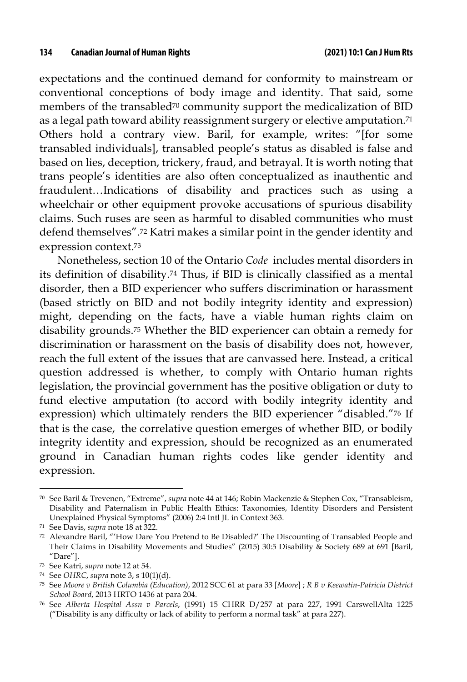expectations and the continued demand for conformity to mainstream or conventional conceptions of body image and identity. That said, some members of the transabled<sup>70</sup> community support the medicalization of BID as a legal path toward ability reassignment surgery or elective amputation.71 Others hold a contrary view. Baril, for example, writes: "[for some transabled individuals], transabled people's status as disabled is false and based on lies, deception, trickery, fraud, and betrayal. It is worth noting that trans people's identities are also often conceptualized as inauthentic and fraudulent…Indications of disability and practices such as using a wheelchair or other equipment provoke accusations of spurious disability claims. Such ruses are seen as harmful to disabled communities who must defend themselves".72 Katri makes a similar point in the gender identity and expression context.73

Nonetheless, section 10 of the Ontario *Code* includes mental disorders in its definition of disability.74 Thus, if BID is clinically classified as a mental disorder, then a BID experiencer who suffers discrimination or harassment (based strictly on BID and not bodily integrity identity and expression) might, depending on the facts, have a viable human rights claim on disability grounds.75 Whether the BID experiencer can obtain a remedy for discrimination or harassment on the basis of disability does not, however, reach the full extent of the issues that are canvassed here. Instead, a critical question addressed is whether, to comply with Ontario human rights legislation, the provincial government has the positive obligation or duty to fund elective amputation (to accord with bodily integrity identity and expression) which ultimately renders the BID experiencer "disabled."76 If that is the case, the correlative question emerges of whether BID, or bodily integrity identity and expression, should be recognized as an enumerated ground in Canadian human rights codes like gender identity and expression.

<sup>70</sup> See Baril & Trevenen, "Extreme", *supra* note 44 at 146; Robin Mackenzie & Stephen Cox, "Transableism, Disability and Paternalism in Public Health Ethics: Taxonomies, Identity Disorders and Persistent Unexplained Physical Symptoms" (2006) 2:4 Intl JL in Context 363.

<sup>71</sup> See Davis, *supra* note 18 at 322.

<sup>72</sup> Alexandre Baril, "'How Dare You Pretend to Be Disabled?' The Discounting of Transabled People and Their Claims in Disability Movements and Studies" (2015) 30:5 Disability & Society 689 at 691 [Baril, "Dare"].

<sup>73</sup> See Katri, *supra* note 12 at 54.

<sup>74</sup> See *OHRC*, *supra* note 3, s 10(1)(d).

<sup>75</sup> See *Moore v British Columbia (Education)*, 2012 SCC 61 at para 33 [*Moore*] ; *R B v Keewatin-Patricia District School Board*, 2013 HRTO 1436 at para 204.

<sup>76</sup> See *Alberta Hospital Assn v Parcels*, (1991) 15 CHRR D/257 at para 227, 1991 CarswellAlta 1225 ("Disability is any difficulty or lack of ability to perform a normal task" at para 227).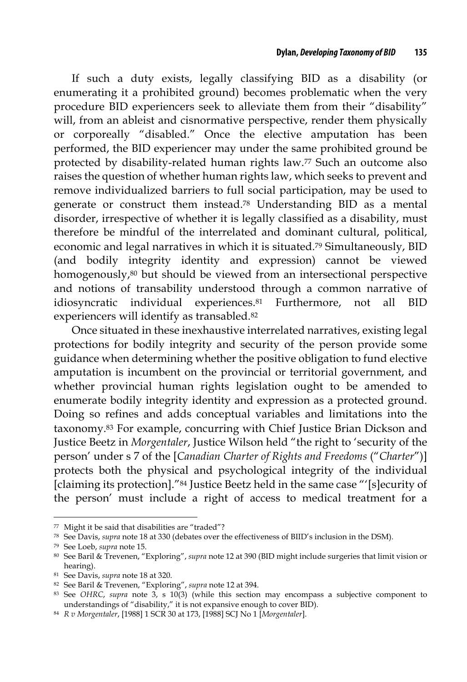If such a duty exists, legally classifying BID as a disability (or enumerating it a prohibited ground) becomes problematic when the very procedure BID experiencers seek to alleviate them from their "disability" will, from an ableist and cisnormative perspective, render them physically or corporeally "disabled." Once the elective amputation has been performed, the BID experiencer may under the same prohibited ground be protected by disability-related human rights law.77 Such an outcome also raises the question of whether human rights law, which seeks to prevent and remove individualized barriers to full social participation, may be used to generate or construct them instead.78 Understanding BID as a mental disorder, irrespective of whether it is legally classified as a disability, must therefore be mindful of the interrelated and dominant cultural, political, economic and legal narratives in which it is situated.79 Simultaneously, BID (and bodily integrity identity and expression) cannot be viewed homogenously,80 but should be viewed from an intersectional perspective and notions of transability understood through a common narrative of idiosyncratic individual experiences.81 Furthermore, not all BID experiencers will identify as transabled.82

Once situated in these inexhaustive interrelated narratives, existing legal protections for bodily integrity and security of the person provide some guidance when determining whether the positive obligation to fund elective amputation is incumbent on the provincial or territorial government, and whether provincial human rights legislation ought to be amended to enumerate bodily integrity identity and expression as a protected ground. Doing so refines and adds conceptual variables and limitations into the taxonomy.83 For example, concurring with Chief Justice Brian Dickson and Justice Beetz in *Morgentaler*, Justice Wilson held "the right to 'security of the person' under s 7 of the [*Canadian Charter of Rights and Freedoms* ("*Charter*")] protects both the physical and psychological integrity of the individual [claiming its protection]."84 Justice Beetz held in the same case "'[s]ecurity of the person' must include a right of access to medical treatment for a

<sup>77</sup> Might it be said that disabilities are "traded"?

<sup>78</sup> See Davis, *supra* note 18 at 330 (debates over the effectiveness of BIID's inclusion in the DSM).

<sup>79</sup> See Loeb, *supra* note 15.

<sup>80</sup> See Baril & Trevenen, "Exploring", *supra* note 12 at 390 (BID might include surgeries that limit vision or hearing).

<sup>81</sup> See Davis, *supra* note 18 at 320.

<sup>82</sup> See Baril & Trevenen, "Exploring", *supra* note 12 at 394.

<sup>&</sup>lt;sup>83</sup> See *OHRC, supra* note 3, s 10(3) (while this section may encompass a subjective component to understandings of "disability," it is not expansive enough to cover BID).

understandings of "disability," it is not expansive enough to cover BID). 84 *R v Morgentaler*, [1988] 1 SCR 30 at 173, [1988] SCJ No 1 [*Morgentaler*].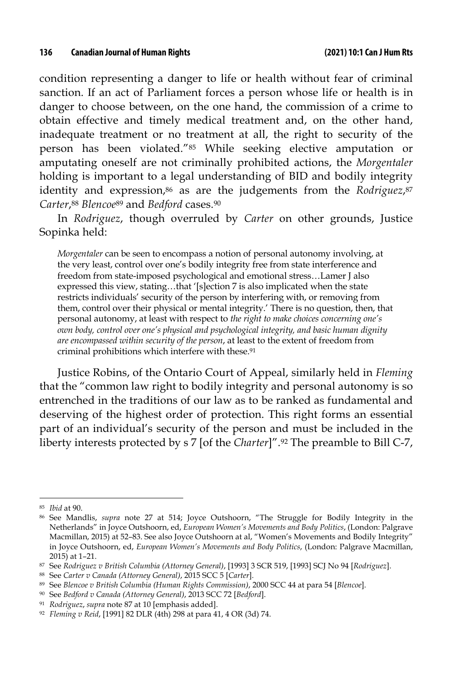condition representing a danger to life or health without fear of criminal sanction. If an act of Parliament forces a person whose life or health is in danger to choose between, on the one hand, the commission of a crime to obtain effective and timely medical treatment and, on the other hand, inadequate treatment or no treatment at all, the right to security of the person has been violated."85 While seeking elective amputation or amputating oneself are not criminally prohibited actions, the *Morgentaler* holding is important to a legal understanding of BID and bodily integrity identity and expression,<sup>86</sup> as are the judgements from the *Rodriguez*,<sup>87</sup> *Carter*,88 *Blencoe*<sup>89</sup> and *Bedford* cases.90

In *Rodriguez*, though overruled by *Carter* on other grounds, Justice Sopinka held:

*Morgentaler* can be seen to encompass a notion of personal autonomy involving, at the very least, control over one's bodily integrity free from state interference and freedom from state-imposed psychological and emotional stress…Lamer J also expressed this view, stating…that '[s]ection 7 is also implicated when the state restricts individuals' security of the person by interfering with, or removing from them, control over their physical or mental integrity.' There is no question, then, that personal autonomy, at least with respect to *the right to make choices concerning one's own body, control over one's physical and psychological integrity, and basic human dignity are encompassed within security of the person*, at least to the extent of freedom from criminal prohibitions which interfere with these.91

Justice Robins, of the Ontario Court of Appeal, similarly held in *Fleming* that the "common law right to bodily integrity and personal autonomy is so entrenched in the traditions of our law as to be ranked as fundamental and deserving of the highest order of protection. This right forms an essential part of an individual's security of the person and must be included in the liberty interests protected by s 7 [of the *Charter*]".92 The preamble to Bill C-7,

<sup>85</sup> *Ibid* at 90.

<sup>86</sup> See Mandlis, *supra* note 27 at 514; Joyce Outshoorn, "The Struggle for Bodily Integrity in the Netherlands" in Joyce Outshoorn, ed, *European Women's Movements and Body Politics*, (London: Palgrave Macmillan, 2015) at 52–83. See also Joyce Outshoorn at al, "Women's Movements and Bodily Integrity" in Joyce Outshoorn, ed, *European Women's Movements and Body Politics*, (London: Palgrave Macmillan, 2015) at 1–21.

<sup>87</sup> See *Rodriguez v British Columbia (Attorney General)*, [1993] 3 SCR 519, [1993] SCJ No 94 [*Rodriguez*].

<sup>88</sup> See *Carter v Canada (Attorney General)*, 2015 SCC 5 [*Carter*]*.*

<sup>89</sup> See *Blencoe v British Columbia (Human Rights Commission)*, 2000 SCC 44 at para 54 [*Blencoe*].

<sup>90</sup> See *Bedford v Canada (Attorney General)*, 2013 SCC 72 [*Bedford*].

<sup>91</sup> *Rodriguez*, *supra* note 87 at 10 [emphasis added].

<sup>92</sup> *Fleming v Reid*, [1991] 82 DLR (4th) 298 at para 41, 4 OR (3d) 74.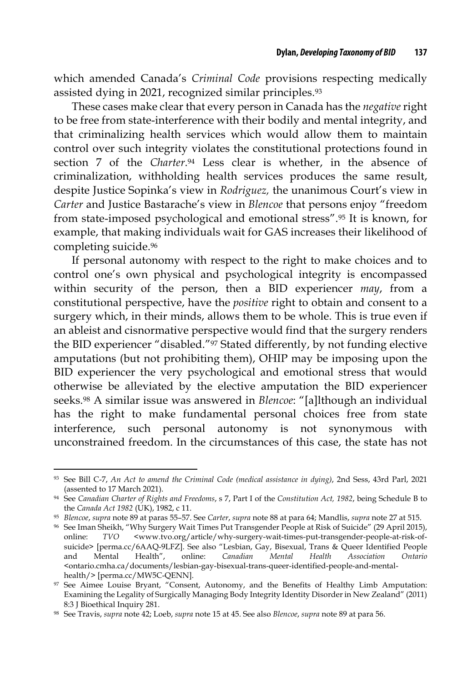which amended Canada's *Criminal Code* provisions respecting medically assisted dying in 2021, recognized similar principles.93

These cases make clear that every person in Canada has the *negative* right to be free from state-interference with their bodily and mental integrity, and that criminalizing health services which would allow them to maintain control over such integrity violates the constitutional protections found in section 7 of the *Charter*.94 Less clear is whether, in the absence of criminalization, withholding health services produces the same result, despite Justice Sopinka's view in *Rodriguez,* the unanimous Court's view in *Carter* and Justice Bastarache's view in *Blencoe* that persons enjoy "freedom from state-imposed psychological and emotional stress".95 It is known, for example, that making individuals wait for GAS increases their likelihood of completing suicide.96

If personal autonomy with respect to the right to make choices and to control one's own physical and psychological integrity is encompassed within security of the person, then a BID experiencer *may*, from a constitutional perspective, have the *positive* right to obtain and consent to a surgery which, in their minds, allows them to be whole. This is true even if an ableist and cisnormative perspective would find that the surgery renders the BID experiencer "disabled."97 Stated differently, by not funding elective amputations (but not prohibiting them), OHIP may be imposing upon the BID experiencer the very psychological and emotional stress that would otherwise be alleviated by the elective amputation the BID experiencer seeks.98 A similar issue was answered in *Blencoe*: "[a]lthough an individual has the right to make fundamental personal choices free from state interference, such personal autonomy is not synonymous with unconstrained freedom. In the circumstances of this case, the state has not

<sup>93</sup> See Bill C-7, *An Act to amend the Criminal Code (medical assistance in dying)*, 2nd Sess, 43rd Parl, 2021 (assented to 17 March 2021).

<sup>94</sup> See *Canadian Charter of Rights and Freedoms*, s 7, Part I of the *Constitution Act, 1982*, being Schedule B to the *Canada Act 1982* (UK), 1982, c 11.

<sup>95</sup> *Blencoe*, *supra* note 89 at paras 55–57. See *Carter*, *supra* note 88 at para 64; Mandlis, *supra* note 27 at 515.

<sup>96</sup> See Iman Sheikh, "Why Surgery Wait Times Put Transgender People at Risk of Suicide" (29 April 2015), online: *TVO* <www.tvo.org/article/why-surgery-wait-times-put-transgender-people-at-risk-ofsuicide> [perma.cc/6AAQ-9LFZ]. See also "Lesbian, Gay, Bisexual, Trans & Queer Identified People and Mental Health", online: *Canadian Mental Health Association Ontario*  <ontario.cmha.ca/documents/lesbian-gay-bisexual-trans-queer-identified-people-and-mentalhealth/> [perma.cc/MW5C-QENN].

<sup>97</sup> See Aimee Louise Bryant, "Consent, Autonomy, and the Benefits of Healthy Limb Amputation: Examining the Legality of Surgically Managing Body Integrity Identity Disorder in New Zealand" (2011) 8:3 J Bioethical Inquiry 281.

<sup>98</sup> See Travis, *supra* note 42; Loeb, *supra* note 15 at 45. See also *Blencoe*, *supra* note 89 at para 56.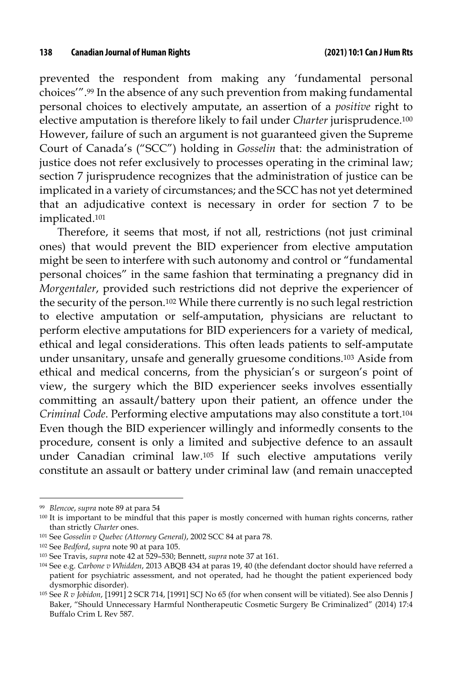prevented the respondent from making any 'fundamental personal choices'".99 In the absence of any such prevention from making fundamental personal choices to electively amputate, an assertion of a *positive* right to elective amputation is therefore likely to fail under *Charter* jurisprudence.100 However, failure of such an argument is not guaranteed given the Supreme Court of Canada's ("SCC") holding in *Gosselin* that: the administration of justice does not refer exclusively to processes operating in the criminal law; section 7 jurisprudence recognizes that the administration of justice can be implicated in a variety of circumstances; and the SCC has not yet determined that an adjudicative context is necessary in order for section 7 to be implicated.101

Therefore, it seems that most, if not all, restrictions (not just criminal ones) that would prevent the BID experiencer from elective amputation might be seen to interfere with such autonomy and control or "fundamental personal choices" in the same fashion that terminating a pregnancy did in *Morgentaler*, provided such restrictions did not deprive the experiencer of the security of the person.102 While there currently is no such legal restriction to elective amputation or self-amputation, physicians are reluctant to perform elective amputations for BID experiencers for a variety of medical, ethical and legal considerations. This often leads patients to self-amputate under unsanitary, unsafe and generally gruesome conditions.103 Aside from ethical and medical concerns, from the physician's or surgeon's point of view, the surgery which the BID experiencer seeks involves essentially committing an assault/battery upon their patient, an offence under the *Criminal Code*. Performing elective amputations may also constitute a tort.104 Even though the BID experiencer willingly and informedly consents to the procedure, consent is only a limited and subjective defence to an assault under Canadian criminal law.105 If such elective amputations verily constitute an assault or battery under criminal law (and remain unaccepted

<sup>99</sup> *Blencoe*, *supra* note 89 at para 54

<sup>100</sup> It is important to be mindful that this paper is mostly concerned with human rights concerns, rather than strictly *Charter* ones.

<sup>101</sup> See *Gosselin v Quebec (Attorney General)*, 2002 SCC 84 at para 78.

<sup>102</sup> See *Bedford*, *supra* note 90 at para 105.

<sup>103</sup> See Travis, *supra* note 42 at 529–530; Bennett, *supra* note 37 at 161.

<sup>104</sup> See e.g. *Carbone v Whidden*, 2013 ABQB 434 at paras 19, 40 (the defendant doctor should have referred a patient for psychiatric assessment, and not operated, had he thought the patient experienced body dysmorphic disorder).

<sup>105</sup> See *R v Jobidon*, [1991] 2 SCR 714, [1991] SCJ No 65 (for when consent will be vitiated). See also Dennis J Baker, "Should Unnecessary Harmful Nontherapeutic Cosmetic Surgery Be Criminalized" (2014) 17:4 Buffalo Crim L Rev 587.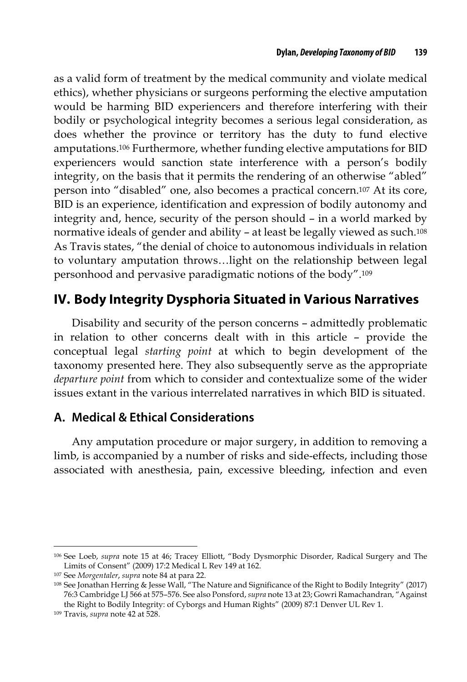as a valid form of treatment by the medical community and violate medical ethics), whether physicians or surgeons performing the elective amputation would be harming BID experiencers and therefore interfering with their bodily or psychological integrity becomes a serious legal consideration, as does whether the province or territory has the duty to fund elective amputations.106 Furthermore, whether funding elective amputations for BID experiencers would sanction state interference with a person's bodily integrity, on the basis that it permits the rendering of an otherwise "abled" person into "disabled" one, also becomes a practical concern.107 At its core, BID is an experience, identification and expression of bodily autonomy and integrity and, hence, security of the person should – in a world marked by normative ideals of gender and ability – at least be legally viewed as such.108 As Travis states, "the denial of choice to autonomous individuals in relation to voluntary amputation throws…light on the relationship between legal personhood and pervasive paradigmatic notions of the body".109

## **IV. Body Integrity Dysphoria Situated in Various Narratives**

Disability and security of the person concerns – admittedly problematic in relation to other concerns dealt with in this article – provide the conceptual legal *starting point* at which to begin development of the taxonomy presented here. They also subsequently serve as the appropriate *departure point* from which to consider and contextualize some of the wider issues extant in the various interrelated narratives in which BID is situated.

### **A. Medical & Ethical Considerations**

Any amputation procedure or major surgery, in addition to removing a limb, is accompanied by a number of risks and side-effects, including those associated with anesthesia, pain, excessive bleeding, infection and even

<sup>106</sup> See Loeb, *supra* note 15 at 46; Tracey Elliott, "Body Dysmorphic Disorder, Radical Surgery and The Limits of Consent" (2009) 17:2 Medical L Rev 149 at 162.

<sup>107</sup> See *Morgentaler*, *supra* note 84 at para 22.

<sup>108</sup> See Jonathan Herring & Jesse Wall, "The Nature and Significance of the Right to Bodily Integrity" (2017) 76:3 Cambridge LJ 566 at 575–576. See also Ponsford, *supra* note 13 at 23; Gowri Ramachandran, "Against the Right to Bodily Integrity: of Cyborgs and Human Rights" (2009) 87:1 Denver UL Rev 1.

<sup>109</sup> Travis, *supra* note 42 at 528.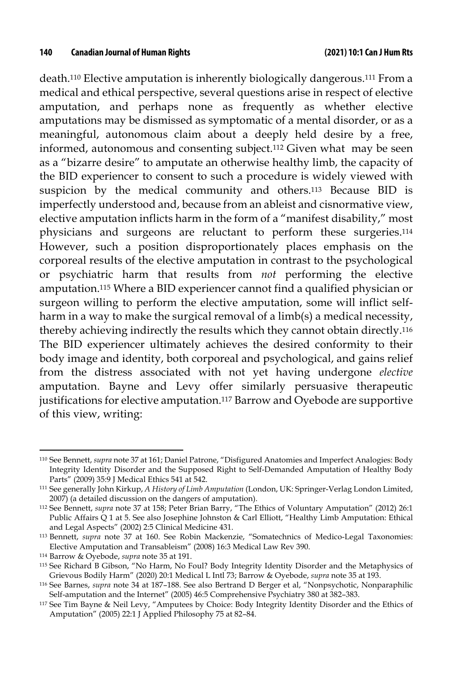death.110 Elective amputation is inherently biologically dangerous.111 From a medical and ethical perspective, several questions arise in respect of elective amputation, and perhaps none as frequently as whether elective amputations may be dismissed as symptomatic of a mental disorder, or as a meaningful, autonomous claim about a deeply held desire by a free, informed, autonomous and consenting subject.112 Given what may be seen as a "bizarre desire" to amputate an otherwise healthy limb, the capacity of the BID experiencer to consent to such a procedure is widely viewed with suspicion by the medical community and others.113 Because BID is imperfectly understood and, because from an ableist and cisnormative view, elective amputation inflicts harm in the form of a "manifest disability," most physicians and surgeons are reluctant to perform these surgeries.114 However, such a position disproportionately places emphasis on the corporeal results of the elective amputation in contrast to the psychological or psychiatric harm that results from *not* performing the elective amputation.115 Where a BID experiencer cannot find a qualified physician or surgeon willing to perform the elective amputation, some will inflict selfharm in a way to make the surgical removal of a limb(s) a medical necessity, thereby achieving indirectly the results which they cannot obtain directly.116 The BID experiencer ultimately achieves the desired conformity to their body image and identity, both corporeal and psychological, and gains relief from the distress associated with not yet having undergone *elective* amputation. Bayne and Levy offer similarly persuasive therapeutic justifications for elective amputation.117 Barrow and Oyebode are supportive of this view, writing:

<sup>110</sup> See Bennett, *supra* note 37 at 161; Daniel Patrone, "Disfigured Anatomies and Imperfect Analogies: Body Integrity Identity Disorder and the Supposed Right to Self-Demanded Amputation of Healthy Body Parts" (2009) 35:9 J Medical Ethics 541 at 542.

<sup>111</sup> See generally John Kirkup, *A History of Limb Amputation* (London, UK: Springer-Verlag London Limited, 2007) (a detailed discussion on the dangers of amputation).

<sup>112</sup> See Bennett, *supra* note 37 at 158; Peter Brian Barry, "The Ethics of Voluntary Amputation" (2012) 26:1 Public Affairs Q 1 at 5. See also Josephine Johnston & Carl Elliott, "Healthy Limb Amputation: Ethical and Legal Aspects" (2002) 2:5 Clinical Medicine 431.

<sup>113</sup> Bennett, *supra* note 37 at 160. See Robin Mackenzie, "Somatechnics of Medico-Legal Taxonomies: Elective Amputation and Transableism" (2008) 16:3 Medical Law Rev 390.

<sup>114</sup> Barrow & Oyebode, *supra* note 35 at 191.

<sup>115</sup> See Richard B Gibson, "No Harm, No Foul? Body Integrity Identity Disorder and the Metaphysics of Grievous Bodily Harm" (2020) 20:1 Medical L Intl 73; Barrow & Oyebode, *supra* note 35 at 193.

<sup>116</sup> See Barnes, *supra* note 34 at 187–188. See also Bertrand D Berger et al, "Nonpsychotic, Nonparaphilic Self-amputation and the Internet" (2005) 46:5 Comprehensive Psychiatry 380 at 382–383.

<sup>117</sup> See Tim Bayne & Neil Levy, "Amputees by Choice: Body Integrity Identity Disorder and the Ethics of Amputation" (2005) 22:1 J Applied Philosophy 75 at 82–84.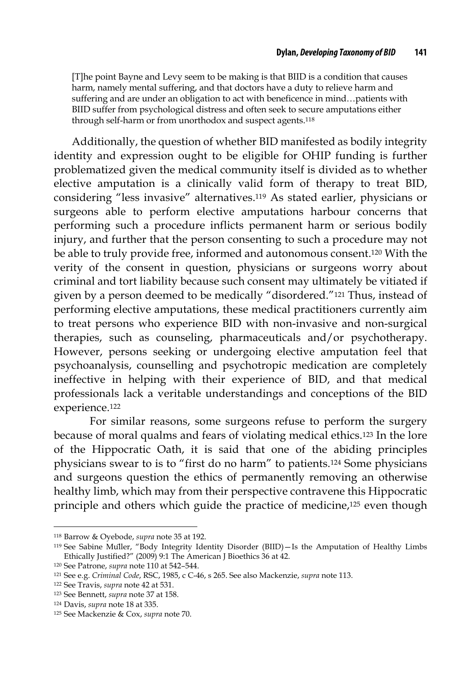[T]he point Bayne and Levy seem to be making is that BIID is a condition that causes harm, namely mental suffering, and that doctors have a duty to relieve harm and suffering and are under an obligation to act with beneficence in mind…patients with BIID suffer from psychological distress and often seek to secure amputations either through self-harm or from unorthodox and suspect agents.118

Additionally, the question of whether BID manifested as bodily integrity identity and expression ought to be eligible for OHIP funding is further problematized given the medical community itself is divided as to whether elective amputation is a clinically valid form of therapy to treat BID, considering "less invasive" alternatives.119 As stated earlier, physicians or surgeons able to perform elective amputations harbour concerns that performing such a procedure inflicts permanent harm or serious bodily injury, and further that the person consenting to such a procedure may not be able to truly provide free, informed and autonomous consent.120 With the verity of the consent in question, physicians or surgeons worry about criminal and tort liability because such consent may ultimately be vitiated if given by a person deemed to be medically "disordered."121 Thus, instead of performing elective amputations, these medical practitioners currently aim to treat persons who experience BID with non-invasive and non-surgical therapies, such as counseling, pharmaceuticals and/or psychotherapy. However, persons seeking or undergoing elective amputation feel that psychoanalysis, counselling and psychotropic medication are completely ineffective in helping with their experience of BID, and that medical professionals lack a veritable understandings and conceptions of the BID experience.122

For similar reasons, some surgeons refuse to perform the surgery because of moral qualms and fears of violating medical ethics.123 In the lore of the Hippocratic Oath, it is said that one of the abiding principles physicians swear to is to "first do no harm" to patients.124 Some physicians and surgeons question the ethics of permanently removing an otherwise healthy limb, which may from their perspective contravene this Hippocratic principle and others which guide the practice of medicine,125 even though

<sup>118</sup> Barrow & Oyebode, *supra* note 35 at 192.

<sup>119</sup> See Sabine Müller, "Body Integrity Identity Disorder (BIID)—Is the Amputation of Healthy Limbs Ethically Justified?" (2009) 9:1 The American J Bioethics 36 at 42.

<sup>120</sup> See Patrone, *supra* note 110 at 542–544.

<sup>121</sup> See e.g. *Criminal Code*, RSC, 1985, c C-46, s 265. See also Mackenzie, *supra* note 113.

<sup>122</sup> See Travis, *supra* note 42 at 531.

<sup>123</sup> See Bennett, *supra* note 37 at 158.

<sup>124</sup> Davis, *supra* note 18 at 335.

<sup>125</sup> See Mackenzie & Cox, *supra* note 70.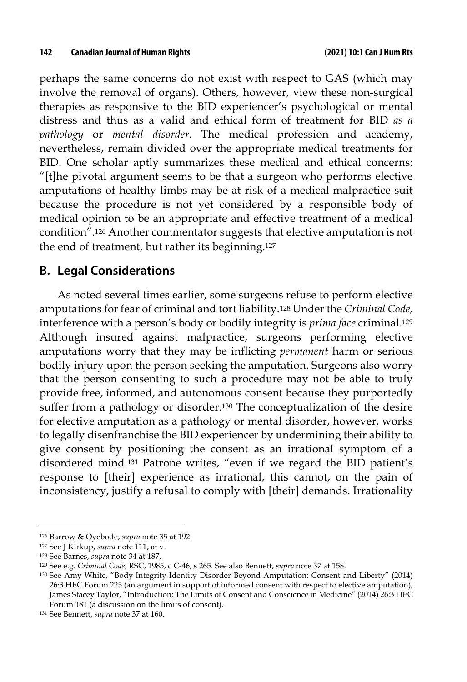perhaps the same concerns do not exist with respect to GAS (which may involve the removal of organs). Others, however, view these non-surgical therapies as responsive to the BID experiencer's psychological or mental distress and thus as a valid and ethical form of treatment for BID *as a pathology* or *mental disorder*. The medical profession and academy, nevertheless, remain divided over the appropriate medical treatments for BID. One scholar aptly summarizes these medical and ethical concerns: "[t]he pivotal argument seems to be that a surgeon who performs elective amputations of healthy limbs may be at risk of a medical malpractice suit because the procedure is not yet considered by a responsible body of medical opinion to be an appropriate and effective treatment of a medical condition".126 Another commentator suggests that elective amputation is not the end of treatment, but rather its beginning.127

#### **B. Legal Considerations**

As noted several times earlier, some surgeons refuse to perform elective amputations for fear of criminal and tort liability.128 Under the *Criminal Code,* interference with a person's body or bodily integrity is *prima face* criminal.129 Although insured against malpractice, surgeons performing elective amputations worry that they may be inflicting *permanent* harm or serious bodily injury upon the person seeking the amputation. Surgeons also worry that the person consenting to such a procedure may not be able to truly provide free, informed, and autonomous consent because they purportedly suffer from a pathology or disorder.130 The conceptualization of the desire for elective amputation as a pathology or mental disorder, however, works to legally disenfranchise the BID experiencer by undermining their ability to give consent by positioning the consent as an irrational symptom of a disordered mind.131 Patrone writes, "even if we regard the BID patient's response to [their] experience as irrational, this cannot, on the pain of inconsistency, justify a refusal to comply with [their] demands. Irrationality

<sup>126</sup> Barrow & Oyebode, *supra* note 35 at 192.

<sup>127</sup> See J Kirkup, *supra* note 111, at v.

<sup>128</sup> See Barnes, *supra* note 34 at 187.

<sup>129</sup> See e.g. *Criminal Code*, RSC, 1985, c C-46, s 265. See also Bennett, *supra* note 37 at 158.

<sup>130</sup> See Amy White, "Body Integrity Identity Disorder Beyond Amputation: Consent and Liberty" (2014) 26:3 HEC Forum 225 (an argument in support of informed consent with respect to elective amputation); James Stacey Taylor, "Introduction: The Limits of Consent and Conscience in Medicine" (2014) 26:3 HEC Forum 181 (a discussion on the limits of consent).

<sup>131</sup> See Bennett, *supra* note 37 at 160.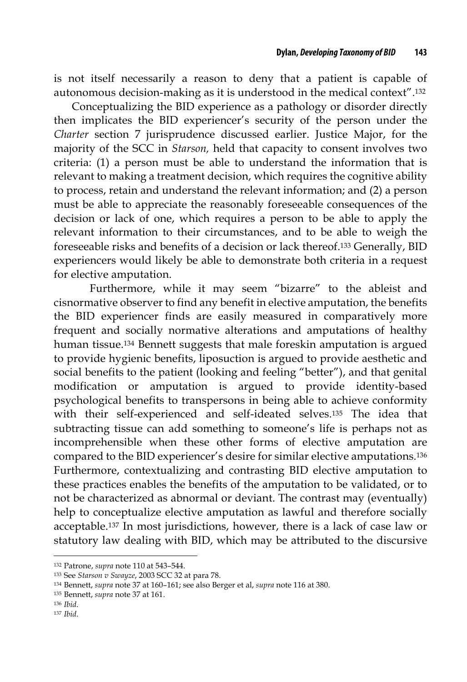is not itself necessarily a reason to deny that a patient is capable of autonomous decision-making as it is understood in the medical context".132

Conceptualizing the BID experience as a pathology or disorder directly then implicates the BID experiencer's security of the person under the *Charter* section 7 jurisprudence discussed earlier. Justice Major, for the majority of the SCC in *Starson,* held that capacity to consent involves two criteria: (1) a person must be able to understand the information that is relevant to making a treatment decision, which requires the cognitive ability to process, retain and understand the relevant information; and (2) a person must be able to appreciate the reasonably foreseeable consequences of the decision or lack of one, which requires a person to be able to apply the relevant information to their circumstances, and to be able to weigh the foreseeable risks and benefits of a decision or lack thereof.133 Generally, BID experiencers would likely be able to demonstrate both criteria in a request for elective amputation.

Furthermore, while it may seem "bizarre" to the ableist and cisnormative observer to find any benefit in elective amputation, the benefits the BID experiencer finds are easily measured in comparatively more frequent and socially normative alterations and amputations of healthy human tissue.134 Bennett suggests that male foreskin amputation is argued to provide hygienic benefits, liposuction is argued to provide aesthetic and social benefits to the patient (looking and feeling "better"), and that genital modification or amputation is argued to provide identity-based psychological benefits to transpersons in being able to achieve conformity with their self-experienced and self-ideated selves.135 The idea that subtracting tissue can add something to someone's life is perhaps not as incomprehensible when these other forms of elective amputation are compared to the BID experiencer's desire for similar elective amputations.136 Furthermore, contextualizing and contrasting BID elective amputation to these practices enables the benefits of the amputation to be validated, or to not be characterized as abnormal or deviant. The contrast may (eventually) help to conceptualize elective amputation as lawful and therefore socially acceptable.137 In most jurisdictions, however, there is a lack of case law or statutory law dealing with BID, which may be attributed to the discursive

<sup>132</sup> Patrone, *supra* note 110 at 543–544.

<sup>133</sup> See *Starson v Swayze*, 2003 SCC 32 at para 78.

<sup>134</sup> Bennett, *supra* note 37 at 160–161; see also Berger et al, *supra* note 116 at 380.

<sup>135</sup> Bennett, *supra* note 37 at 161.

<sup>136</sup> *Ibid*.

<sup>137</sup> *Ibid*.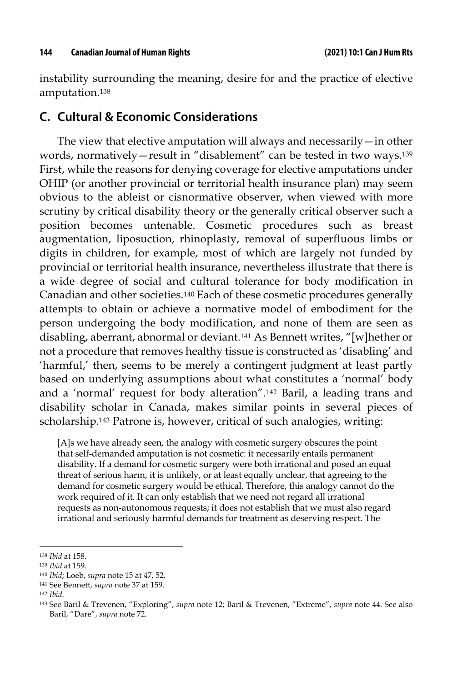instability surrounding the meaning, desire for and the practice of elective amputation.138

#### **C. Cultural & Economic Considerations**

The view that elective amputation will always and necessarily—in other words, normatively—result in "disablement" can be tested in two ways.139 First, while the reasons for denying coverage for elective amputations under OHIP (or another provincial or territorial health insurance plan) may seem obvious to the ableist or cisnormative observer, when viewed with more scrutiny by critical disability theory or the generally critical observer such a position becomes untenable. Cosmetic procedures such as breast augmentation, liposuction, rhinoplasty, removal of superfluous limbs or digits in children, for example, most of which are largely not funded by provincial or territorial health insurance, nevertheless illustrate that there is a wide degree of social and cultural tolerance for body modification in Canadian and other societies.140 Each of these cosmetic procedures generally attempts to obtain or achieve a normative model of embodiment for the person undergoing the body modification, and none of them are seen as disabling, aberrant, abnormal or deviant.141 As Bennett writes, "[w]hether or not a procedure that removes healthy tissue is constructed as 'disabling' and 'harmful,' then, seems to be merely a contingent judgment at least partly based on underlying assumptions about what constitutes a 'normal' body and a 'normal' request for body alteration".142 Baril, a leading trans and disability scholar in Canada, makes similar points in several pieces of scholarship.143 Patrone is, however, critical of such analogies, writing:

[A]s we have already seen, the analogy with cosmetic surgery obscures the point that self-demanded amputation is not cosmetic: it necessarily entails permanent disability. If a demand for cosmetic surgery were both irrational and posed an equal threat of serious harm, it is unlikely, or at least equally unclear, that agreeing to the demand for cosmetic surgery would be ethical. Therefore, this analogy cannot do the work required of it. It can only establish that we need not regard all irrational requests as non-autonomous requests; it does not establish that we must also regard irrational and seriously harmful demands for treatment as deserving respect. The

<sup>138</sup> *Ibid* at 158.

<sup>139</sup> *Ibid* at 159.

<sup>140</sup> *Ibid*; Loeb, *supra* note 15 at 47, 52.

<sup>141</sup> See Bennett, *supra* note 37 at 159.

<sup>142</sup> *Ibid*.

<sup>143</sup> See Baril & Trevenen, "Exploring", *supra* note 12; Baril & Trevenen, "Extreme", *supra* note 44. See also Baril, "Dare", *supra* note 72.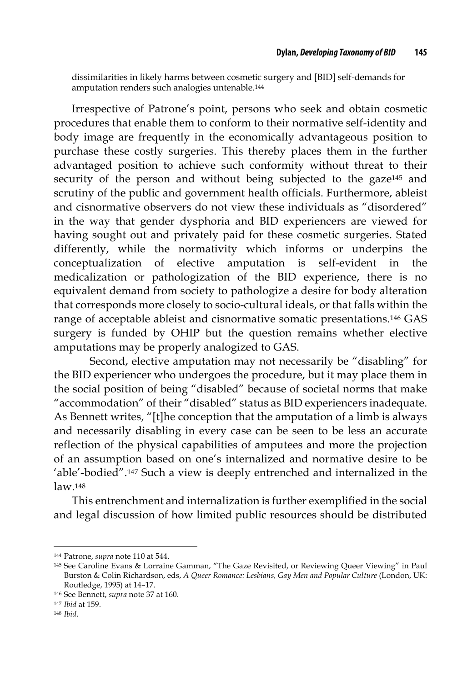dissimilarities in likely harms between cosmetic surgery and [BID] self-demands for amputation renders such analogies untenable.144

Irrespective of Patrone's point, persons who seek and obtain cosmetic procedures that enable them to conform to their normative self-identity and body image are frequently in the economically advantageous position to purchase these costly surgeries. This thereby places them in the further advantaged position to achieve such conformity without threat to their security of the person and without being subjected to the gaze145 and scrutiny of the public and government health officials. Furthermore, ableist and cisnormative observers do not view these individuals as "disordered" in the way that gender dysphoria and BID experiencers are viewed for having sought out and privately paid for these cosmetic surgeries. Stated differently, while the normativity which informs or underpins the conceptualization of elective amputation is self-evident in the medicalization or pathologization of the BID experience, there is no equivalent demand from society to pathologize a desire for body alteration that corresponds more closely to socio-cultural ideals, or that falls within the range of acceptable ableist and cisnormative somatic presentations.146 GAS surgery is funded by OHIP but the question remains whether elective amputations may be properly analogized to GAS.

Second, elective amputation may not necessarily be "disabling" for the BID experiencer who undergoes the procedure, but it may place them in the social position of being "disabled" because of societal norms that make "accommodation" of their "disabled" status as BID experiencers inadequate. As Bennett writes, "[t]he conception that the amputation of a limb is always and necessarily disabling in every case can be seen to be less an accurate reflection of the physical capabilities of amputees and more the projection of an assumption based on one's internalized and normative desire to be 'able'-bodied".147 Such a view is deeply entrenched and internalized in the law.148

This entrenchment and internalization is further exemplified in the social and legal discussion of how limited public resources should be distributed

<sup>144</sup> Patrone, *supra* note 110 at 544.

<sup>145</sup> See Caroline Evans & Lorraine Gamman, "The Gaze Revisited, or Reviewing Queer Viewing" in Paul Burston & Colin Richardson, eds, *A Queer Romance: Lesbians, Gay Men and Popular Culture* (London, UK: Routledge, 1995) at 14–17.

<sup>146</sup> See Bennett, *supra* note 37 at 160.

<sup>147</sup> *Ibid* at 159.

<sup>148</sup> *Ibid*.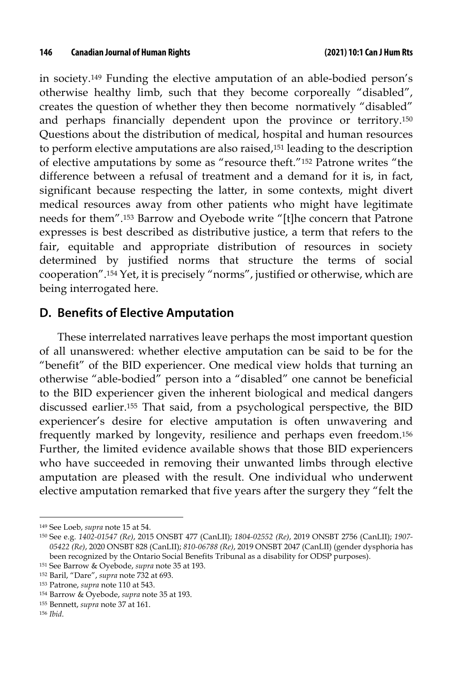in society.149 Funding the elective amputation of an able-bodied person's otherwise healthy limb, such that they become corporeally "disabled", creates the question of whether they then become normatively "disabled" and perhaps financially dependent upon the province or territory.150 Questions about the distribution of medical, hospital and human resources to perform elective amputations are also raised,151 leading to the description of elective amputations by some as "resource theft."152 Patrone writes "the difference between a refusal of treatment and a demand for it is, in fact, significant because respecting the latter, in some contexts, might divert medical resources away from other patients who might have legitimate needs for them".153 Barrow and Oyebode write "[t]he concern that Patrone expresses is best described as distributive justice, a term that refers to the fair, equitable and appropriate distribution of resources in society determined by justified norms that structure the terms of social cooperation".154 Yet, it is precisely "norms", justified or otherwise, which are being interrogated here.

#### **D. Benefits of Elective Amputation**

These interrelated narratives leave perhaps the most important question of all unanswered: whether elective amputation can be said to be for the "benefit" of the BID experiencer. One medical view holds that turning an otherwise "able-bodied" person into a "disabled" one cannot be beneficial to the BID experiencer given the inherent biological and medical dangers discussed earlier.155 That said, from a psychological perspective, the BID experiencer's desire for elective amputation is often unwavering and frequently marked by longevity, resilience and perhaps even freedom.156 Further, the limited evidence available shows that those BID experiencers who have succeeded in removing their unwanted limbs through elective amputation are pleased with the result. One individual who underwent elective amputation remarked that five years after the surgery they "felt the

<sup>149</sup> See Loeb, *supra* note 15 at 54.

<sup>150</sup> See e.g. *1402-01547 (Re)*, 2015 ONSBT 477 (CanLII); *1804-02552 (Re)*, 2019 ONSBT 2756 (CanLII); *1907- 05422 (Re)*, 2020 ONSBT 828 (CanLII); *810-06788 (Re)*, 2019 ONSBT 2047 (CanLII) (gender dysphoria has been recognized by the Ontario Social Benefits Tribunal as a disability for ODSP purposes).

<sup>151</sup> See Barrow & Oyebode, *supra* note 35 at 193.

<sup>152</sup> Baril, "Dare", *supra* note 732 at 693.

<sup>153</sup> Patrone, *supra* note 110 at 543.

<sup>154</sup> Barrow & Oyebode, *supra* note 35 at 193.

<sup>155</sup> Bennett, *supra* note 37 at 161.

<sup>156</sup> *Ibid*.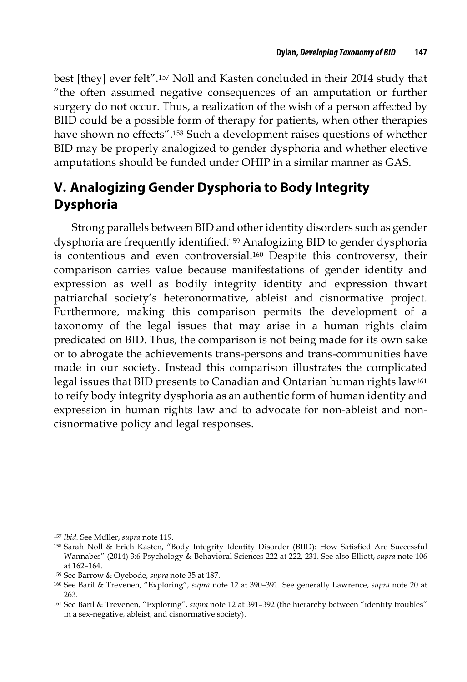best [they] ever felt".157 Noll and Kasten concluded in their 2014 study that "the often assumed negative consequences of an amputation or further surgery do not occur. Thus, a realization of the wish of a person affected by BIID could be a possible form of therapy for patients, when other therapies have shown no effects".158 Such a development raises questions of whether BID may be properly analogized to gender dysphoria and whether elective amputations should be funded under OHIP in a similar manner as GAS.

## **V. Analogizing Gender Dysphoria to Body Integrity Dysphoria**

Strong parallels between BID and other identity disorders such as gender dysphoria are frequently identified.159 Analogizing BID to gender dysphoria is contentious and even controversial.160 Despite this controversy, their comparison carries value because manifestations of gender identity and expression as well as bodily integrity identity and expression thwart patriarchal society's heteronormative, ableist and cisnormative project. Furthermore, making this comparison permits the development of a taxonomy of the legal issues that may arise in a human rights claim predicated on BID. Thus, the comparison is not being made for its own sake or to abrogate the achievements trans-persons and trans-communities have made in our society. Instead this comparison illustrates the complicated legal issues that BID presents to Canadian and Ontarian human rights law161 to reify body integrity dysphoria as an authentic form of human identity and expression in human rights law and to advocate for non-ableist and noncisnormative policy and legal responses.

<sup>157</sup> *Ibid.* See Müller, *supra* note 119.

<sup>158</sup> Sarah Noll & Erich Kasten, "Body Integrity Identity Disorder (BIID): How Satisfied Are Successful Wannabes" (2014) 3:6 Psychology & Behavioral Sciences 222 at 222, 231. See also Elliott, *supra* note 106 at 162–164.

<sup>159</sup> See Barrow & Oyebode, *supra* note 35 at 187.

<sup>160</sup> See Baril & Trevenen, "Exploring", *supra* note 12 at 390–391. See generally Lawrence, *supra* note 20 at 263.

<sup>161</sup> See Baril & Trevenen, "Exploring", *supra* note 12 at 391–392 (the hierarchy between "identity troubles" in a sex-negative, ableist, and cisnormative society).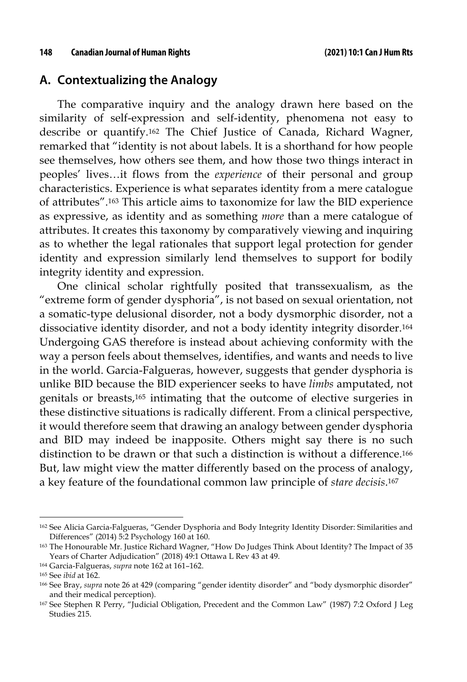#### **A. Contextualizing the Analogy**

The comparative inquiry and the analogy drawn here based on the similarity of self-expression and self-identity, phenomena not easy to describe or quantify.162 The Chief Justice of Canada, Richard Wagner, remarked that "identity is not about labels. It is a shorthand for how people see themselves, how others see them, and how those two things interact in peoples' lives…it flows from the *experience* of their personal and group characteristics. Experience is what separates identity from a mere catalogue of attributes".163 This article aims to taxonomize for law the BID experience as expressive, as identity and as something *more* than a mere catalogue of attributes. It creates this taxonomy by comparatively viewing and inquiring as to whether the legal rationales that support legal protection for gender identity and expression similarly lend themselves to support for bodily integrity identity and expression.

One clinical scholar rightfully posited that transsexualism, as the "extreme form of gender dysphoria", is not based on sexual orientation, not a somatic-type delusional disorder, not a body dysmorphic disorder, not a dissociative identity disorder, and not a body identity integrity disorder.164 Undergoing GAS therefore is instead about achieving conformity with the way a person feels about themselves, identifies, and wants and needs to live in the world. Garcia-Falgueras, however, suggests that gender dysphoria is unlike BID because the BID experiencer seeks to have *limbs* amputated, not genitals or breasts,165 intimating that the outcome of elective surgeries in these distinctive situations is radically different. From a clinical perspective, it would therefore seem that drawing an analogy between gender dysphoria and BID may indeed be inapposite. Others might say there is no such distinction to be drawn or that such a distinction is without a difference.166 But, law might view the matter differently based on the process of analogy, a key feature of the foundational common law principle of *stare decisis*.167

<sup>&</sup>lt;sup>162</sup> See Alicia Garcia-Falgueras, "Gender Dysphoria and Body Integrity Identity Disorder: Similarities and Differences" (2014) 5:2 Psychology 160 at 160.

<sup>163</sup> The Honourable Mr. Justice Richard Wagner, "How Do Judges Think About Identity? The Impact of 35 Years of Charter Adjudication" (2018) 49:1 Ottawa L Rev 43 at 49.

<sup>164</sup> Garcia-Falgueras, *supra* note 162 at 161–162.

<sup>165</sup> See *ibid* at 162.

<sup>166</sup> See Bray, *supra* note 26 at 429 (comparing "gender identity disorder" and "body dysmorphic disorder" and their medical perception).

<sup>167</sup> See Stephen R Perry, "Judicial Obligation, Precedent and the Common Law" (1987) 7:2 Oxford J Leg Studies 215.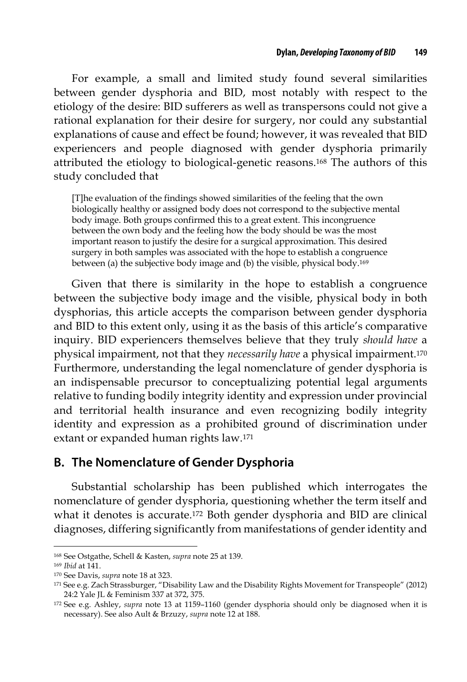For example, a small and limited study found several similarities between gender dysphoria and BID, most notably with respect to the etiology of the desire: BID sufferers as well as transpersons could not give a rational explanation for their desire for surgery, nor could any substantial explanations of cause and effect be found; however, it was revealed that BID experiencers and people diagnosed with gender dysphoria primarily attributed the etiology to biological-genetic reasons.168 The authors of this study concluded that

[T]he evaluation of the findings showed similarities of the feeling that the own biologically healthy or assigned body does not correspond to the subjective mental body image. Both groups confirmed this to a great extent. This incongruence between the own body and the feeling how the body should be was the most important reason to justify the desire for a surgical approximation. This desired surgery in both samples was associated with the hope to establish a congruence between (a) the subjective body image and (b) the visible, physical body.169

Given that there is similarity in the hope to establish a congruence between the subjective body image and the visible, physical body in both dysphorias, this article accepts the comparison between gender dysphoria and BID to this extent only, using it as the basis of this article's comparative inquiry. BID experiencers themselves believe that they truly *should have* a physical impairment, not that they *necessarily have* a physical impairment.170 Furthermore, understanding the legal nomenclature of gender dysphoria is an indispensable precursor to conceptualizing potential legal arguments relative to funding bodily integrity identity and expression under provincial and territorial health insurance and even recognizing bodily integrity identity and expression as a prohibited ground of discrimination under extant or expanded human rights law.171

#### **B. The Nomenclature of Gender Dysphoria**

Substantial scholarship has been published which interrogates the nomenclature of gender dysphoria, questioning whether the term itself and what it denotes is accurate.172 Both gender dysphoria and BID are clinical diagnoses, differing significantly from manifestations of gender identity and

<sup>168</sup> See Ostgathe, Schell & Kasten, *supra* note 25 at 139.

<sup>169</sup> *Ibid* at 141.

<sup>170</sup> See Davis, *supra* note 18 at 323.

<sup>171</sup> See e.g. Zach Strassburger, "Disability Law and the Disability Rights Movement for Transpeople" (2012) 24:2 Yale JL & Feminism 337 at 372, 375.

<sup>172</sup> See e.g. Ashley, *supra* note 13 at 1159–1160 (gender dysphoria should only be diagnosed when it is necessary). See also Ault & Brzuzy, *supra* note 12 at 188.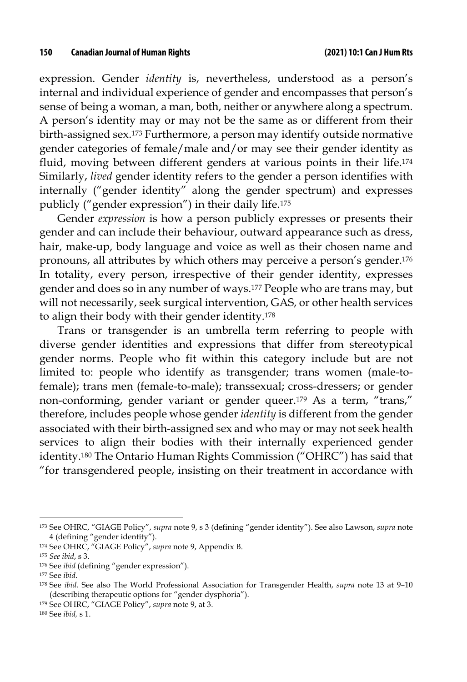expression. Gender *identity* is, nevertheless, understood as a person's internal and individual experience of gender and encompasses that person's sense of being a woman, a man, both, neither or anywhere along a spectrum. A person's identity may or may not be the same as or different from their birth-assigned sex.173 Furthermore, a person may identify outside normative gender categories of female/male and/or may see their gender identity as fluid, moving between different genders at various points in their life.174 Similarly, *lived* gender identity refers to the gender a person identifies with internally ("gender identity" along the gender spectrum) and expresses publicly ("gender expression") in their daily life.175

Gender *expression* is how a person publicly expresses or presents their gender and can include their behaviour, outward appearance such as dress, hair, make-up, body language and voice as well as their chosen name and pronouns, all attributes by which others may perceive a person's gender.176 In totality, every person, irrespective of their gender identity, expresses gender and does so in any number of ways.177 People who are trans may, but will not necessarily, seek surgical intervention, GAS, or other health services to align their body with their gender identity.178

Trans or transgender is an umbrella term referring to people with diverse gender identities and expressions that differ from stereotypical gender norms. People who fit within this category include but are not limited to: people who identify as transgender; trans women (male-tofemale); trans men (female-to-male); transsexual; cross-dressers; or gender non-conforming, gender variant or gender queer.179 As a term, "trans," therefore, includes people whose gender *identity* is different from the gender associated with their birth-assigned sex and who may or may not seek health services to align their bodies with their internally experienced gender identity.180 The Ontario Human Rights Commission ("OHRC") has said that "for transgendered people, insisting on their treatment in accordance with

<sup>173</sup> See OHRC, "GIAGE Policy", *supra* note 9, s 3 (defining "gender identity"). See also Lawson, *supra* note 4 (defining "gender identity").

<sup>174</sup> See OHRC, "GIAGE Policy", *supra* note 9, Appendix B.

<sup>175</sup> *See ibid*, s 3.

<sup>176</sup> See *ibid* (defining "gender expression").

<sup>177</sup> See *ibid*.

<sup>178</sup> See *ibid.* See also The World Professional Association for Transgender Health, *supra* note 13 at 9–10 (describing therapeutic options for "gender dysphoria").

<sup>179</sup> See OHRC, "GIAGE Policy", *supra* note 9, at 3.

<sup>180</sup> See *ibid,* s 1.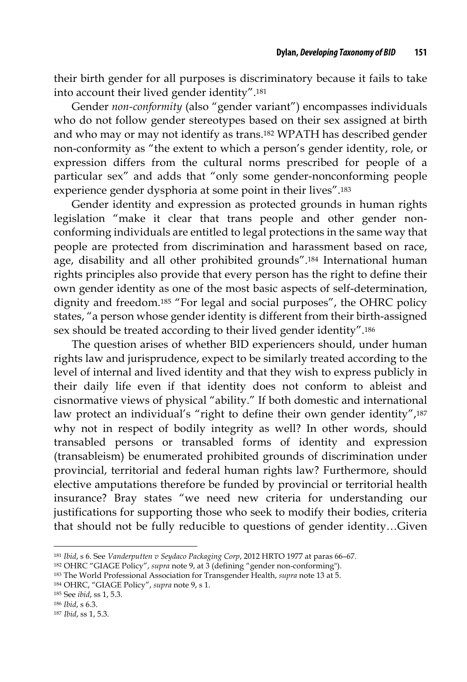their birth gender for all purposes is discriminatory because it fails to take into account their lived gender identity".181

Gender *non-conformity* (also "gender variant") encompasses individuals who do not follow gender stereotypes based on their sex assigned at birth and who may or may not identify as trans.182 WPATH has described gender non-conformity as "the extent to which a person's gender identity, role, or expression differs from the cultural norms prescribed for people of a particular sex" and adds that "only some gender-nonconforming people experience gender dysphoria at some point in their lives".183

Gender identity and expression as protected grounds in human rights legislation "make it clear that trans people and other gender nonconforming individuals are entitled to legal protections in the same way that people are protected from discrimination and harassment based on race, age, disability and all other prohibited grounds".184 International human rights principles also provide that every person has the right to define their own gender identity as one of the most basic aspects of self-determination, dignity and freedom.185 "For legal and social purposes", the OHRC policy states, "a person whose gender identity is different from their birth-assigned sex should be treated according to their lived gender identity".186

The question arises of whether BID experiencers should, under human rights law and jurisprudence, expect to be similarly treated according to the level of internal and lived identity and that they wish to express publicly in their daily life even if that identity does not conform to ableist and cisnormative views of physical "ability." If both domestic and international law protect an individual's "right to define their own gender identity",<sup>187</sup> why not in respect of bodily integrity as well? In other words, should transabled persons or transabled forms of identity and expression (transableism) be enumerated prohibited grounds of discrimination under provincial, territorial and federal human rights law? Furthermore, should elective amputations therefore be funded by provincial or territorial health insurance? Bray states "we need new criteria for understanding our justifications for supporting those who seek to modify their bodies, criteria that should not be fully reducible to questions of gender identity…Given

<sup>181</sup> *Ibid*, s 6. See *Vanderputten v Seydaco Packaging Corp*, 2012 HRTO 1977 at paras 66–67.

<sup>182</sup> OHRC "GIAGE Policy", *supra* note 9, at 3 (defining "gender non-conforming").

<sup>183</sup> The World Professional Association for Transgender Health, *supra* note 13 at 5.

<sup>184</sup> OHRC, "GIAGE Policy", *supra* note 9, s 1.

<sup>185</sup> See *ibid*, ss 1, 5.3.

<sup>186</sup> *Ibid*, s 6.3.

<sup>187</sup> *Ibid*, ss 1, 5.3.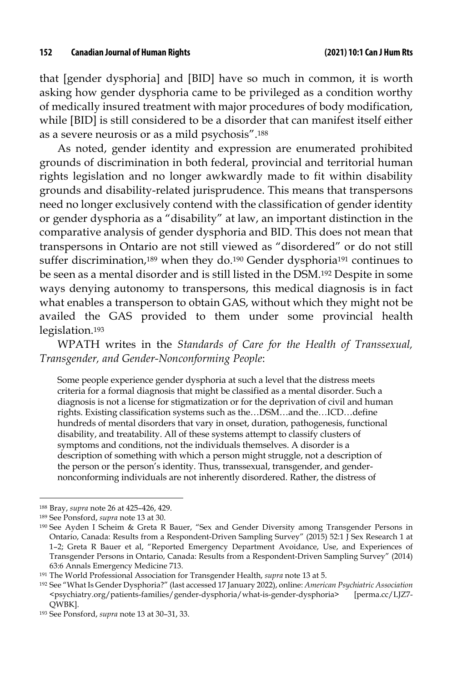that [gender dysphoria] and [BID] have so much in common, it is worth asking how gender dysphoria came to be privileged as a condition worthy of medically insured treatment with major procedures of body modification, while [BID] is still considered to be a disorder that can manifest itself either as a severe neurosis or as a mild psychosis".188

As noted, gender identity and expression are enumerated prohibited grounds of discrimination in both federal, provincial and territorial human rights legislation and no longer awkwardly made to fit within disability grounds and disability-related jurisprudence. This means that transpersons need no longer exclusively contend with the classification of gender identity or gender dysphoria as a "disability" at law, an important distinction in the comparative analysis of gender dysphoria and BID. This does not mean that transpersons in Ontario are not still viewed as "disordered" or do not still suffer discrimination,189 when they do.190 Gender dysphoria191 continues to be seen as a mental disorder and is still listed in the DSM.192 Despite in some ways denying autonomy to transpersons, this medical diagnosis is in fact what enables a transperson to obtain GAS, without which they might not be availed the GAS provided to them under some provincial health legislation.193

WPATH writes in the *Standards of Care for the Health of Transsexual, Transgender, and Gender-Nonconforming People*:

Some people experience gender dysphoria at such a level that the distress meets criteria for a formal diagnosis that might be classified as a mental disorder. Such a diagnosis is not a license for stigmatization or for the deprivation of civil and human rights. Existing classification systems such as the…DSM…and the*…*ICD…define hundreds of mental disorders that vary in onset, duration, pathogenesis, functional disability, and treatability. All of these systems attempt to classify clusters of symptoms and conditions, not the individuals themselves. A disorder is a description of something with which a person might struggle, not a description of the person or the person's identity. Thus, transsexual, transgender, and gendernonconforming individuals are not inherently disordered. Rather, the distress of

<sup>188</sup> Bray, *supra* note 26 at 425–426, 429.

<sup>189</sup> See Ponsford, *supra* note 13 at 30.

<sup>190</sup> See Ayden I Scheim & Greta R Bauer, "Sex and Gender Diversity among Transgender Persons in Ontario, Canada: Results from a Respondent-Driven Sampling Survey" (2015) 52:1 J Sex Research 1 at 1–2; Greta R Bauer et al, "Reported Emergency Department Avoidance, Use, and Experiences of Transgender Persons in Ontario, Canada: Results from a Respondent-Driven Sampling Survey" (2014) 63:6 Annals Emergency Medicine 713.

<sup>191</sup> The World Professional Association for Transgender Health, *supra* note 13 at 5.

<sup>192</sup> See "What Is Gender Dysphoria?" (last accessed 17 January 2022), online: *American Psychiatric Association* <psychiatry.org/patients-families/gender-dysphoria/what-is-gender-dysphoria> [perma.cc/LJZ7- QWBK].

<sup>193</sup> See Ponsford, *supra* note 13 at 30–31, 33.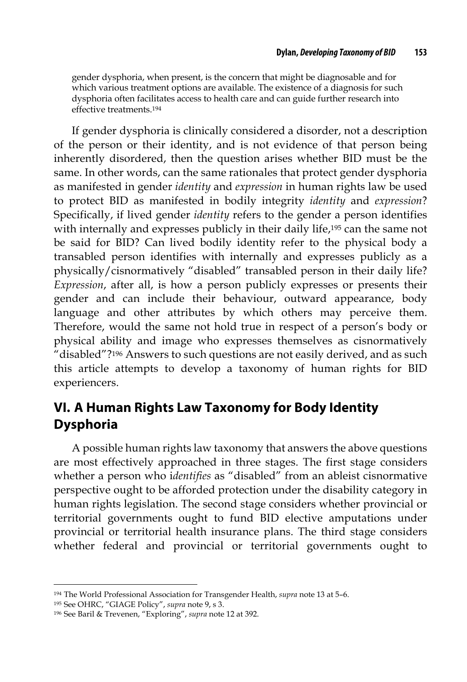gender dysphoria, when present, is the concern that might be diagnosable and for which various treatment options are available. The existence of a diagnosis for such dysphoria often facilitates access to health care and can guide further research into effective treatments.194

If gender dysphoria is clinically considered a disorder, not a description of the person or their identity, and is not evidence of that person being inherently disordered, then the question arises whether BID must be the same. In other words, can the same rationales that protect gender dysphoria as manifested in gender *identity* and *expression* in human rights law be used to protect BID as manifested in bodily integrity *identity* and *expression*? Specifically, if lived gender *identity* refers to the gender a person identifies with internally and expresses publicly in their daily life,195 can the same not be said for BID? Can lived bodily identity refer to the physical body a transabled person identifies with internally and expresses publicly as a physically/cisnormatively "disabled" transabled person in their daily life? *Expression*, after all, is how a person publicly expresses or presents their gender and can include their behaviour, outward appearance, body language and other attributes by which others may perceive them. Therefore, would the same not hold true in respect of a person's body or physical ability and image who expresses themselves as cisnormatively "disabled"?196 Answers to such questions are not easily derived, and as such this article attempts to develop a taxonomy of human rights for BID experiencers.

## **VI. A Human Rights Law Taxonomy for Body Identity Dysphoria**

A possible human rights law taxonomy that answers the above questions are most effectively approached in three stages. The first stage considers whether a person who i*dentifies* as "disabled" from an ableist cisnormative perspective ought to be afforded protection under the disability category in human rights legislation. The second stage considers whether provincial or territorial governments ought to fund BID elective amputations under provincial or territorial health insurance plans. The third stage considers whether federal and provincial or territorial governments ought to

<sup>194</sup> The World Professional Association for Transgender Health, *supra* note 13 at 5–6.

<sup>195</sup> See OHRC, "GIAGE Policy", *supra* note 9, s 3.

<sup>196</sup> See Baril & Trevenen, "Exploring", *supra* note 12 at 392.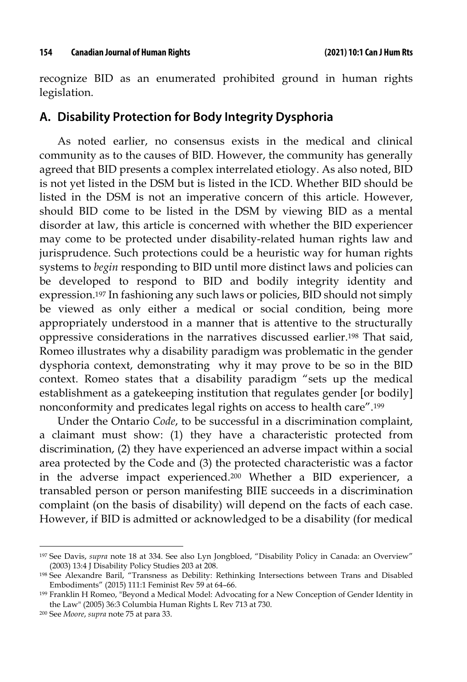recognize BID as an enumerated prohibited ground in human rights legislation.

#### **A. Disability Protection for Body Integrity Dysphoria**

As noted earlier, no consensus exists in the medical and clinical community as to the causes of BID. However, the community has generally agreed that BID presents a complex interrelated etiology. As also noted, BID is not yet listed in the DSM but is listed in the ICD. Whether BID should be listed in the DSM is not an imperative concern of this article. However, should BID come to be listed in the DSM by viewing BID as a mental disorder at law, this article is concerned with whether the BID experiencer may come to be protected under disability-related human rights law and jurisprudence. Such protections could be a heuristic way for human rights systems to *begin* responding to BID until more distinct laws and policies can be developed to respond to BID and bodily integrity identity and expression.197 In fashioning any such laws or policies, BID should not simply be viewed as only either a medical or social condition, being more appropriately understood in a manner that is attentive to the structurally oppressive considerations in the narratives discussed earlier.198 That said, Romeo illustrates why a disability paradigm was problematic in the gender dysphoria context, demonstrating why it may prove to be so in the BID context. Romeo states that a disability paradigm "sets up the medical establishment as a gatekeeping institution that regulates gender [or bodily] nonconformity and predicates legal rights on access to health care".199

Under the Ontario *Code*, to be successful in a discrimination complaint, a claimant must show: (1) they have a characteristic protected from discrimination, (2) they have experienced an adverse impact within a social area protected by the Code and (3) the protected characteristic was a factor in the adverse impact experienced.200 Whether a BID experiencer, a transabled person or person manifesting BIIE succeeds in a discrimination complaint (on the basis of disability) will depend on the facts of each case. However, if BID is admitted or acknowledged to be a disability (for medical

<sup>197</sup> See Davis, *supra* note 18 at 334. See also Lyn Jongbloed, "Disability Policy in Canada: an Overview" (2003) 13:4 J Disability Policy Studies 203 at 208.

<sup>198</sup> See Alexandre Baril, "Transness as Debility: Rethinking Intersections between Trans and Disabled Embodiments" (2015) 111:1 Feminist Rev 59 at 64–66.

<sup>199</sup> Franklin H Romeo, "Beyond a Medical Model: Advocating for a New Conception of Gender Identity in the Law" (2005) 36:3 Columbia Human Rights L Rev 713 at 730.

<sup>200</sup> See *Moore*, *supra* note 75 at para 33.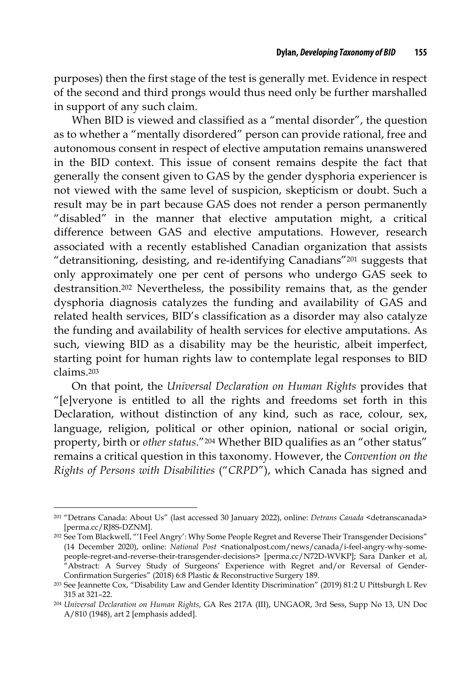purposes) then the first stage of the test is generally met. Evidence in respect of the second and third prongs would thus need only be further marshalled in support of any such claim.

When BID is viewed and classified as a "mental disorder", the question as to whether a "mentally disordered" person can provide rational, free and autonomous consent in respect of elective amputation remains unanswered in the BID context. This issue of consent remains despite the fact that generally the consent given to GAS by the gender dysphoria experiencer is not viewed with the same level of suspicion, skepticism or doubt. Such a result may be in part because GAS does not render a person permanently "disabled" in the manner that elective amputation might, a critical difference between GAS and elective amputations. However, research associated with a recently established Canadian organization that assists "detransitioning, desisting, and re-identifying Canadians"201 suggests that only approximately one per cent of persons who undergo GAS seek to destransition.202 Nevertheless, the possibility remains that, as the gender dysphoria diagnosis catalyzes the funding and availability of GAS and related health services, BID's classification as a disorder may also catalyze the funding and availability of health services for elective amputations. As such, viewing BID as a disability may be the heuristic, albeit imperfect, starting point for human rights law to contemplate legal responses to BID claims.203

On that point, the *Universal Declaration on Human Rights* provides that "[e]veryone is entitled to all the rights and freedoms set forth in this Declaration, without distinction of any kind, such as race, colour, sex, language, religion, political or other opinion, national or social origin, property, birth or *other status*."204 Whether BID qualifies as an "other status" remains a critical question in this taxonomy. However, the *Convention on the Rights of Persons with Disabilities* ("*CRPD*"), which Canada has signed and

<sup>201</sup> "Detrans Canada: About Us" (last accessed 30 January 2022), online: *Detrans Canada* <detranscanada> [perma.cc/RJ8S-DZNM].

<sup>202</sup> See Tom Blackwell, "'I Feel Angry': Why Some People Regret and Reverse Their Transgender Decisions" (14 December 2020), online: *National Post* <nationalpost.com/news/canada/i-feel-angry-why-somepeople-regret-and-reverse-their-transgender-decisions> [perma.cc/N72D-WVKP]; Sara Danker et al, "Abstract: A Survey Study of Surgeons' Experience with Regret and/or Reversal of Gender-Confirmation Surgeries" (2018) 6:8 Plastic & Reconstructive Surgery 189.

<sup>203</sup> See Jeannette Cox, "Disability Law and Gender Identity Discrimination" (2019) 81:2 U Pittsburgh L Rev 315 at 321–22.

<sup>204</sup> *Universal Declaration on Human Rights*, GA Res 217A (III), UNGAOR, 3rd Sess, Supp No 13, UN Doc A/810 (1948), art 2 [emphasis added].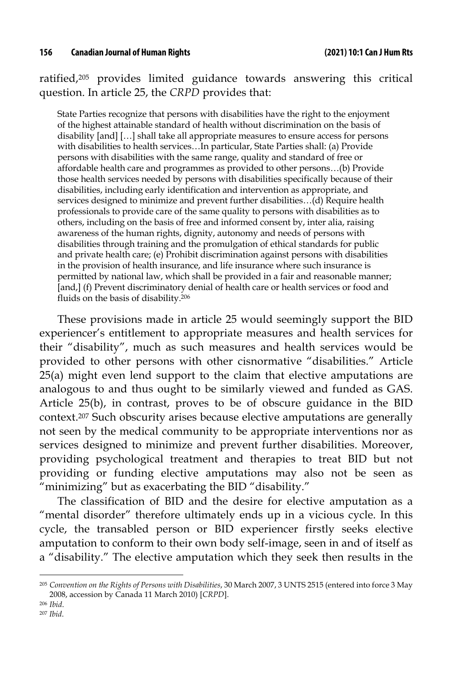ratified,205 provides limited guidance towards answering this critical question. In article 25, the *CRPD* provides that:

State Parties recognize that persons with disabilities have the right to the enjoyment of the highest attainable standard of health without discrimination on the basis of disability [and] […] shall take all appropriate measures to ensure access for persons with disabilities to health services…In particular, State Parties shall: (a) Provide persons with disabilities with the same range, quality and standard of free or affordable health care and programmes as provided to other persons…(b) Provide those health services needed by persons with disabilities specifically because of their disabilities, including early identification and intervention as appropriate, and services designed to minimize and prevent further disabilities…(d) Require health professionals to provide care of the same quality to persons with disabilities as to others, including on the basis of free and informed consent by, inter alia, raising awareness of the human rights, dignity, autonomy and needs of persons with disabilities through training and the promulgation of ethical standards for public and private health care; (e) Prohibit discrimination against persons with disabilities in the provision of health insurance, and life insurance where such insurance is permitted by national law, which shall be provided in a fair and reasonable manner; [and,] (f) Prevent discriminatory denial of health care or health services or food and fluids on the basis of disability.206

These provisions made in article 25 would seemingly support the BID experiencer's entitlement to appropriate measures and health services for their "disability", much as such measures and health services would be provided to other persons with other cisnormative "disabilities." Article 25(a) might even lend support to the claim that elective amputations are analogous to and thus ought to be similarly viewed and funded as GAS. Article 25(b), in contrast, proves to be of obscure guidance in the BID context.207 Such obscurity arises because elective amputations are generally not seen by the medical community to be appropriate interventions nor as services designed to minimize and prevent further disabilities. Moreover, providing psychological treatment and therapies to treat BID but not providing or funding elective amputations may also not be seen as "minimizing" but as exacerbating the BID "disability."

The classification of BID and the desire for elective amputation as a "mental disorder" therefore ultimately ends up in a vicious cycle. In this cycle, the transabled person or BID experiencer firstly seeks elective amputation to conform to their own body self-image, seen in and of itself as a "disability." The elective amputation which they seek then results in the

<sup>205</sup> *Convention on the Rights of Persons with Disabilities*, 30 March 2007, 3 UNTS 2515 (entered into force 3 May 2008, accession by Canada 11 March 2010) [*CRPD*].

<sup>206</sup> *Ibid*.

<sup>207</sup> *Ibid*.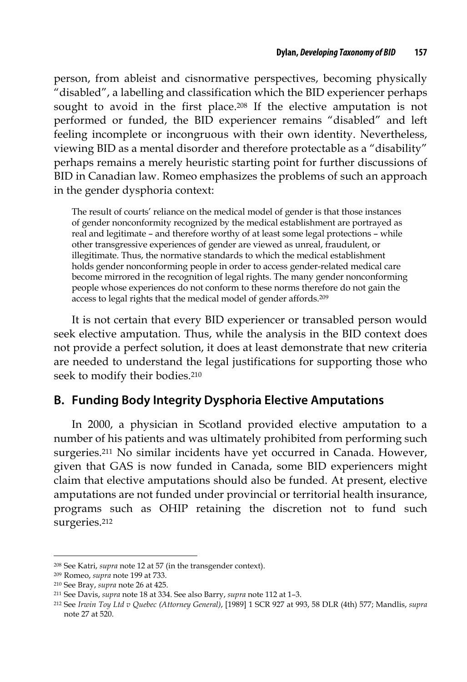person, from ableist and cisnormative perspectives, becoming physically "disabled", a labelling and classification which the BID experiencer perhaps sought to avoid in the first place.208 If the elective amputation is not performed or funded, the BID experiencer remains "disabled" and left feeling incomplete or incongruous with their own identity. Nevertheless, viewing BID as a mental disorder and therefore protectable as a "disability" perhaps remains a merely heuristic starting point for further discussions of BID in Canadian law. Romeo emphasizes the problems of such an approach in the gender dysphoria context:

The result of courts' reliance on the medical model of gender is that those instances of gender nonconformity recognized by the medical establishment are portrayed as real and legitimate – and therefore worthy of at least some legal protections – while other transgressive experiences of gender are viewed as unreal, fraudulent, or illegitimate. Thus, the normative standards to which the medical establishment holds gender nonconforming people in order to access gender-related medical care become mirrored in the recognition of legal rights. The many gender nonconforming people whose experiences do not conform to these norms therefore do not gain the access to legal rights that the medical model of gender affords.209

It is not certain that every BID experiencer or transabled person would seek elective amputation. Thus, while the analysis in the BID context does not provide a perfect solution, it does at least demonstrate that new criteria are needed to understand the legal justifications for supporting those who seek to modify their bodies.210

### **B. Funding Body Integrity Dysphoria Elective Amputations**

In 2000, a physician in Scotland provided elective amputation to a number of his patients and was ultimately prohibited from performing such surgeries.211 No similar incidents have yet occurred in Canada. However, given that GAS is now funded in Canada, some BID experiencers might claim that elective amputations should also be funded. At present, elective amputations are not funded under provincial or territorial health insurance, programs such as OHIP retaining the discretion not to fund such surgeries.212

<sup>208</sup> See Katri, *supra* note 12 at 57 (in the transgender context).

<sup>209</sup> Romeo, *supra* note 199 at 733.

<sup>210</sup> See Bray, *supra* note 26 at 425.

<sup>211</sup> See Davis, *supra* note 18 at 334. See also Barry, *supra* note 112 at 1–3.

<sup>212</sup> See *Irwin Toy Ltd v Quebec (Attorney General)*, [1989] 1 SCR 927 at 993, 58 DLR (4th) 577; Mandlis, *supra*  note 27 at 520.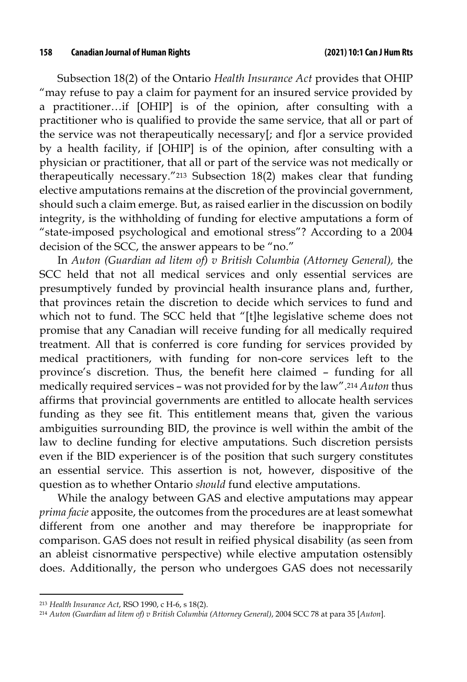Subsection 18(2) of the Ontario *Health Insurance Act* provides that OHIP "may refuse to pay a claim for payment for an insured service provided by a practitioner…if [OHIP] is of the opinion, after consulting with a practitioner who is qualified to provide the same service, that all or part of the service was not therapeutically necessary[; and f]or a service provided by a health facility, if [OHIP] is of the opinion, after consulting with a physician or practitioner, that all or part of the service was not medically or therapeutically necessary."213 Subsection 18(2) makes clear that funding elective amputations remains at the discretion of the provincial government, should such a claim emerge. But, as raised earlier in the discussion on bodily integrity, is the withholding of funding for elective amputations a form of "state-imposed psychological and emotional stress"? According to a 2004 decision of the SCC, the answer appears to be "no."

In *Auton (Guardian ad litem of) v British Columbia (Attorney General),* the SCC held that not all medical services and only essential services are presumptively funded by provincial health insurance plans and, further, that provinces retain the discretion to decide which services to fund and which not to fund. The SCC held that "[t]he legislative scheme does not promise that any Canadian will receive funding for all medically required treatment. All that is conferred is core funding for services provided by medical practitioners, with funding for non-core services left to the province's discretion. Thus, the benefit here claimed – funding for all medically required services – was not provided for by the law".214 *Auton* thus affirms that provincial governments are entitled to allocate health services funding as they see fit. This entitlement means that, given the various ambiguities surrounding BID, the province is well within the ambit of the law to decline funding for elective amputations. Such discretion persists even if the BID experiencer is of the position that such surgery constitutes an essential service. This assertion is not, however, dispositive of the question as to whether Ontario *should* fund elective amputations.

While the analogy between GAS and elective amputations may appear *prima facie* apposite, the outcomes from the procedures are at least somewhat different from one another and may therefore be inappropriate for comparison. GAS does not result in reified physical disability (as seen from an ableist cisnormative perspective) while elective amputation ostensibly does. Additionally, the person who undergoes GAS does not necessarily

<sup>213</sup> *Health Insurance Act*, RSO 1990, c H-6, s 18(2).

<sup>214</sup> *Auton (Guardian ad litem of) v British Columbia (Attorney General)*, 2004 SCC 78 at para 35 [*Auton*].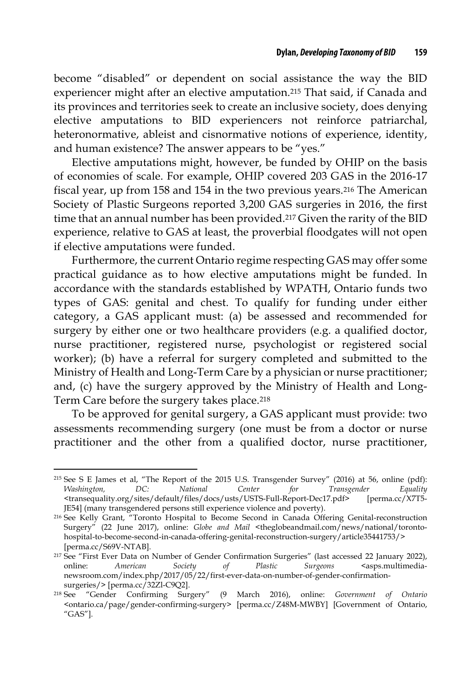become "disabled" or dependent on social assistance the way the BID experiencer might after an elective amputation.215 That said, if Canada and its provinces and territories seek to create an inclusive society, does denying elective amputations to BID experiencers not reinforce patriarchal, heteronormative, ableist and cisnormative notions of experience, identity, and human existence? The answer appears to be "yes."

Elective amputations might, however, be funded by OHIP on the basis of economies of scale. For example, OHIP covered 203 GAS in the 2016-17 fiscal year, up from 158 and 154 in the two previous years.216 The American Society of Plastic Surgeons reported 3,200 GAS surgeries in 2016, the first time that an annual number has been provided.217 Given the rarity of the BID experience, relative to GAS at least, the proverbial floodgates will not open if elective amputations were funded.

Furthermore, the current Ontario regime respecting GAS may offer some practical guidance as to how elective amputations might be funded. In accordance with the standards established by WPATH, Ontario funds two types of GAS: genital and chest. To qualify for funding under either category, a GAS applicant must: (a) be assessed and recommended for surgery by either one or two healthcare providers (e.g. a qualified doctor, nurse practitioner, registered nurse, psychologist or registered social worker); (b) have a referral for surgery completed and submitted to the Ministry of Health and Long-Term Care by a physician or nurse practitioner; and, (c) have the surgery approved by the Ministry of Health and Long-Term Care before the surgery takes place.218

To be approved for genital surgery, a GAS applicant must provide: two assessments recommending surgery (one must be from a doctor or nurse practitioner and the other from a qualified doctor, nurse practitioner,

<sup>215</sup> See S E James et al, "The Report of the 2015 U.S. Transgender Survey" (2016) at 56, online (pdf): *Washington, DC: National Center for Transgender Equality*  <transequality.org/sites/default/files/docs/usts/USTS-Full-Report-Dec17.pdf> [perma.cc/X7T5- JE54] (many transgendered persons still experience violence and poverty).

<sup>216</sup> See Kelly Grant, "Toronto Hospital to Become Second in Canada Offering Genital-reconstruction Surgery" (22 June 2017), online: *Globe and Mail* <theglobeandmail.com/news/national/torontohospital-to-become-second-in-canada-offering-genital-reconstruction-surgery/article35441753/> [perma.cc/S69V-NTAB].

<sup>217</sup> See "First Ever Data on Number of Gender Confirmation Surgeries" (last accessed 22 January 2022), online: *American* Society of Plastic Surgeons <asps.multimedianewsroom.com/index.php/2017/05/22/first-ever-data-on-number-of-gender-confirmationsurgeries/> [perma.cc/32Zl-C9Q2].

<sup>218</sup> See "Gender Confirming Surgery" (9 March 2016), online: *Government of Ontario* <ontario.ca/page/gender-confirming-surgery> [perma.cc/Z48M-MWBY] [Government of Ontario, "GAS"].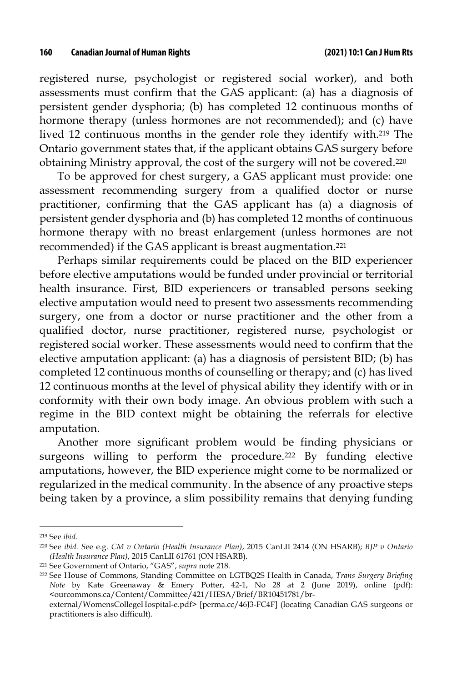registered nurse, psychologist or registered social worker), and both assessments must confirm that the GAS applicant: (a) has a diagnosis of persistent gender dysphoria; (b) has completed 12 continuous months of hormone therapy (unless hormones are not recommended); and (c) have lived 12 continuous months in the gender role they identify with.219 The Ontario government states that, if the applicant obtains GAS surgery before obtaining Ministry approval, the cost of the surgery will not be covered.220

To be approved for chest surgery, a GAS applicant must provide: one assessment recommending surgery from a qualified doctor or nurse practitioner, confirming that the GAS applicant has (a) a diagnosis of persistent gender dysphoria and (b) has completed 12 months of continuous hormone therapy with no breast enlargement (unless hormones are not recommended) if the GAS applicant is breast augmentation.221

Perhaps similar requirements could be placed on the BID experiencer before elective amputations would be funded under provincial or territorial health insurance. First, BID experiencers or transabled persons seeking elective amputation would need to present two assessments recommending surgery, one from a doctor or nurse practitioner and the other from a qualified doctor, nurse practitioner, registered nurse, psychologist or registered social worker. These assessments would need to confirm that the elective amputation applicant: (a) has a diagnosis of persistent BID; (b) has completed 12 continuous months of counselling or therapy; and (c) has lived 12 continuous months at the level of physical ability they identify with or in conformity with their own body image. An obvious problem with such a regime in the BID context might be obtaining the referrals for elective amputation.

Another more significant problem would be finding physicians or surgeons willing to perform the procedure.<sup>222</sup> By funding elective amputations, however, the BID experience might come to be normalized or regularized in the medical community. In the absence of any proactive steps being taken by a province, a slim possibility remains that denying funding

<sup>219</sup> See *ibid.*

<sup>220</sup> See *ibid. S*ee e.g. *CM v Ontario (Health Insurance Plan)*, 2015 CanLII 2414 (ON HSARB); *BJP v Ontario (Health Insurance Plan)*, 2015 CanLII 61761 (ON HSARB).

<sup>221</sup> See Government of Ontario, "GAS", *supra* note 218*.*

<sup>222</sup> See House of Commons, Standing Committee on LGTBQ2S Health in Canada, *Trans Surgery Briefing Note* by Kate Greenaway & Emery Potter, 42-1, No 28 at 2 (June 2019), online (pdf): <ourcommons.ca/Content/Committee/421/HESA/Brief/BR10451781/brexternal/WomensCollegeHospital-e.pdf> [perma.cc/46J3-FC4F] (locating Canadian GAS surgeons or

practitioners is also difficult).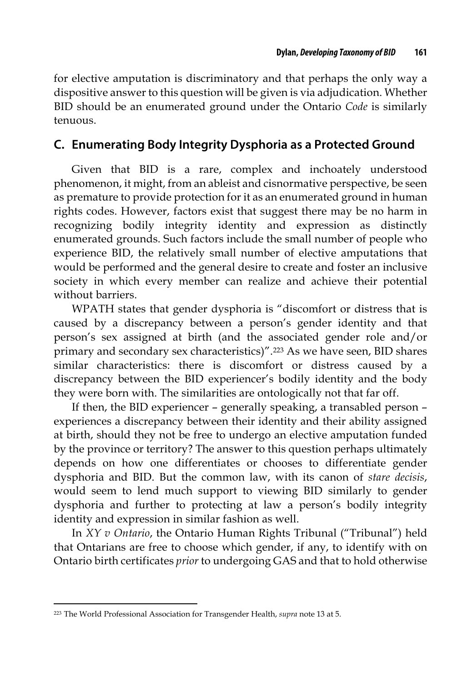for elective amputation is discriminatory and that perhaps the only way a dispositive answer to this question will be given is via adjudication. Whether BID should be an enumerated ground under the Ontario *Code* is similarly tenuous.

#### **C. Enumerating Body Integrity Dysphoria as a Protected Ground**

Given that BID is a rare, complex and inchoately understood phenomenon, it might, from an ableist and cisnormative perspective, be seen as premature to provide protection for it as an enumerated ground in human rights codes. However, factors exist that suggest there may be no harm in recognizing bodily integrity identity and expression as distinctly enumerated grounds. Such factors include the small number of people who experience BID, the relatively small number of elective amputations that would be performed and the general desire to create and foster an inclusive society in which every member can realize and achieve their potential without barriers.

WPATH states that gender dysphoria is "discomfort or distress that is caused by a discrepancy between a person's gender identity and that person's sex assigned at birth (and the associated gender role and/or primary and secondary sex characteristics)".223 As we have seen, BID shares similar characteristics: there is discomfort or distress caused by a discrepancy between the BID experiencer's bodily identity and the body they were born with. The similarities are ontologically not that far off.

If then, the BID experiencer – generally speaking, a transabled person – experiences a discrepancy between their identity and their ability assigned at birth, should they not be free to undergo an elective amputation funded by the province or territory? The answer to this question perhaps ultimately depends on how one differentiates or chooses to differentiate gender dysphoria and BID. But the common law, with its canon of *stare decisis*, would seem to lend much support to viewing BID similarly to gender dysphoria and further to protecting at law a person's bodily integrity identity and expression in similar fashion as well.

In *XY v Ontario*, the Ontario Human Rights Tribunal ("Tribunal") held that Ontarians are free to choose which gender, if any, to identify with on Ontario birth certificates *prior* to undergoing GAS and that to hold otherwise

<sup>223</sup> The World Professional Association for Transgender Health, *supra* note 13 at 5.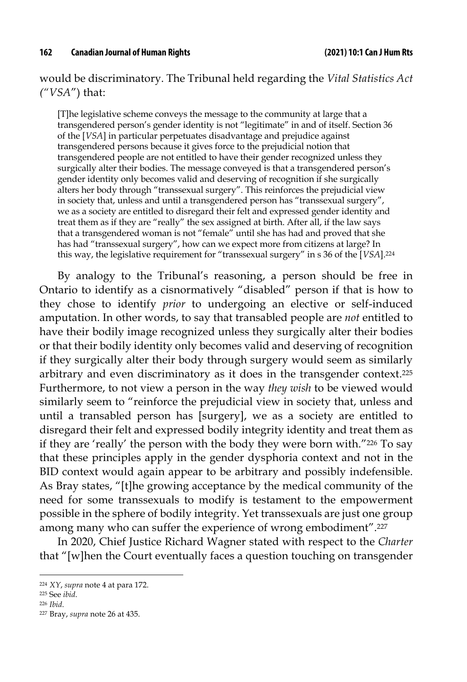would be discriminatory. The Tribunal held regarding the *Vital Statistics Act ("VSA*") that:

[T]he legislative scheme conveys the message to the community at large that a transgendered person's gender identity is not "legitimate" in and of itself. Section 36 of the [*VSA*] in particular perpetuates disadvantage and prejudice against transgendered persons because it gives force to the prejudicial notion that transgendered people are not entitled to have their gender recognized unless they surgically alter their bodies. The message conveyed is that a transgendered person's gender identity only becomes valid and deserving of recognition if she surgically alters her body through "transsexual surgery". This reinforces the prejudicial view in society that, unless and until a transgendered person has "transsexual surgery", we as a society are entitled to disregard their felt and expressed gender identity and treat them as if they are "really" the sex assigned at birth. After all, if the law says that a transgendered woman is not "female" until she has had and proved that she has had "transsexual surgery", how can we expect more from citizens at large? In this way, the legislative requirement for "transsexual surgery" in s 36 of the [*VSA*].224

By analogy to the Tribunal's reasoning, a person should be free in Ontario to identify as a cisnormatively "disabled" person if that is how to they chose to identify *prior* to undergoing an elective or self-induced amputation. In other words, to say that transabled people are *not* entitled to have their bodily image recognized unless they surgically alter their bodies or that their bodily identity only becomes valid and deserving of recognition if they surgically alter their body through surgery would seem as similarly arbitrary and even discriminatory as it does in the transgender context.225 Furthermore, to not view a person in the way *they wish* to be viewed would similarly seem to "reinforce the prejudicial view in society that, unless and until a transabled person has [surgery], we as a society are entitled to disregard their felt and expressed bodily integrity identity and treat them as if they are 'really' the person with the body they were born with."226 To say that these principles apply in the gender dysphoria context and not in the BID context would again appear to be arbitrary and possibly indefensible. As Bray states, "[t]he growing acceptance by the medical community of the need for some transsexuals to modify is testament to the empowerment possible in the sphere of bodily integrity. Yet transsexuals are just one group among many who can suffer the experience of wrong embodiment".227

In 2020, Chief Justice Richard Wagner stated with respect to the *Charter*  that "[w]hen the Court eventually faces a question touching on transgender

<sup>224</sup> *XY*, *supra* note 4 at para 172.

<sup>225</sup> See *ibid*.

<sup>226</sup> *Ibid*.

<sup>227</sup> Bray, *supra* note 26 at 435.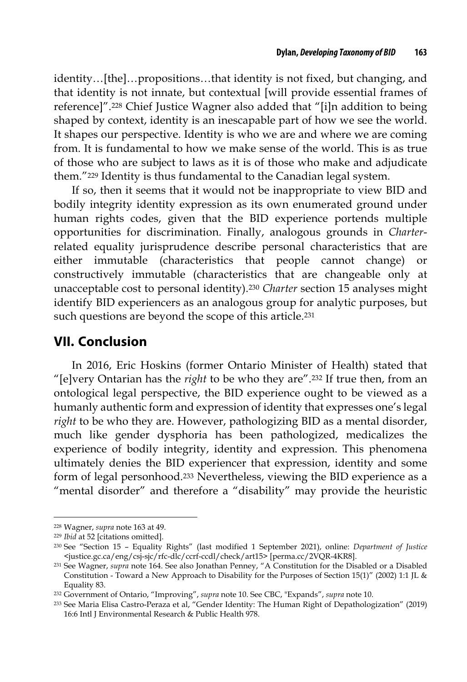identity…[the]…propositions…that identity is not fixed, but changing, and that identity is not innate, but contextual [will provide essential frames of reference]".228 Chief Justice Wagner also added that "[i]n addition to being shaped by context, identity is an inescapable part of how we see the world. It shapes our perspective. Identity is who we are and where we are coming from. It is fundamental to how we make sense of the world. This is as true of those who are subject to laws as it is of those who make and adjudicate them."229 Identity is thus fundamental to the Canadian legal system.

If so, then it seems that it would not be inappropriate to view BID and bodily integrity identity expression as its own enumerated ground under human rights codes, given that the BID experience portends multiple opportunities for discrimination. Finally, analogous grounds in *Charter*related equality jurisprudence describe personal characteristics that are either immutable (characteristics that people cannot change) or constructively immutable (characteristics that are changeable only at unacceptable cost to personal identity).230 *Charter* section 15 analyses might identify BID experiencers as an analogous group for analytic purposes, but such questions are beyond the scope of this article.231

## **VII. Conclusion**

In 2016, Eric Hoskins (former Ontario Minister of Health) stated that "[e]very Ontarian has the *right* to be who they are".232 If true then, from an ontological legal perspective, the BID experience ought to be viewed as a humanly authentic form and expression of identity that expresses one's legal *right* to be who they are. However, pathologizing BID as a mental disorder, much like gender dysphoria has been pathologized, medicalizes the experience of bodily integrity, identity and expression. This phenomena ultimately denies the BID experiencer that expression, identity and some form of legal personhood.233 Nevertheless, viewing the BID experience as a "mental disorder" and therefore a "disability" may provide the heuristic

<sup>228</sup> Wagner, *supra* note 163 at 49.

<sup>229</sup> *Ibid* at 52 [citations omitted].

<sup>230</sup> See "Section 15 – Equality Rights" (last modified 1 September 2021), online: *Department of Justice* <justice.gc.ca/eng/csj-sjc/rfc-dlc/ccrf-ccdl/check/art15> [perma.cc/2VQR-4KR8].

<sup>231</sup> See Wagner, *supra* note 164. See also Jonathan Penney, "A Constitution for the Disabled or a Disabled Constitution - Toward a New Approach to Disability for the Purposes of Section 15(1)" (2002) 1:1 JL & Equality 83.

<sup>232</sup> Government of Ontario, "Improving", *supra* note 10. See CBC, "Expands", *supra* note 10.

<sup>233</sup> See Maria Elisa Castro-Peraza et al, "Gender Identity: The Human Right of Depathologization" (2019) 16:6 Intl J Environmental Research & Public Health 978.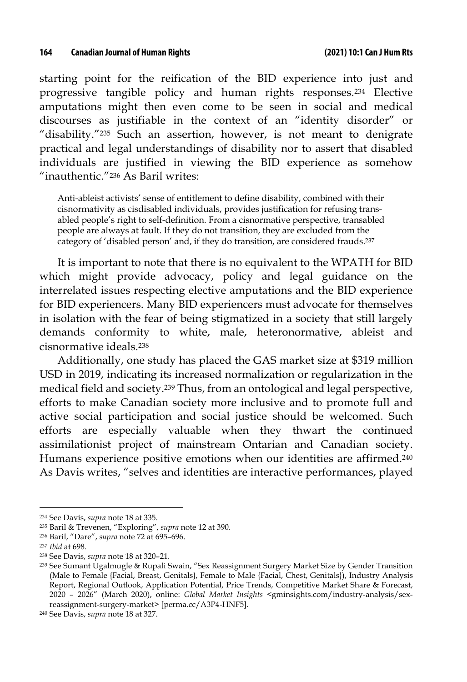starting point for the reification of the BID experience into just and progressive tangible policy and human rights responses.234 Elective amputations might then even come to be seen in social and medical discourses as justifiable in the context of an "identity disorder" or "disability."235 Such an assertion, however, is not meant to denigrate practical and legal understandings of disability nor to assert that disabled individuals are justified in viewing the BID experience as somehow "inauthentic."236 As Baril writes:

Anti-ableist activists' sense of entitlement to define disability, combined with their cisnormativity as cisdisabled individuals, provides justification for refusing transabled people's right to self-definition. From a cisnormative perspective, transabled people are always at fault. If they do not transition, they are excluded from the category of 'disabled person' and, if they do transition, are considered frauds.237

It is important to note that there is no equivalent to the WPATH for BID which might provide advocacy, policy and legal guidance on the interrelated issues respecting elective amputations and the BID experience for BID experiencers. Many BID experiencers must advocate for themselves in isolation with the fear of being stigmatized in a society that still largely demands conformity to white, male, heteronormative, ableist and cisnormative ideals.238

Additionally, one study has placed the GAS market size at \$319 million USD in 2019, indicating its increased normalization or regularization in the medical field and society.239 Thus, from an ontological and legal perspective, efforts to make Canadian society more inclusive and to promote full and active social participation and social justice should be welcomed. Such efforts are especially valuable when they thwart the continued assimilationist project of mainstream Ontarian and Canadian society. Humans experience positive emotions when our identities are affirmed.240 As Davis writes, "selves and identities are interactive performances, played

<sup>234</sup> See Davis, *supra* note 18 at 335.

<sup>235</sup> Baril & Trevenen, "Exploring", *supra* note 12 at 390.

<sup>236</sup> Baril, "Dare", *supra* note 72 at 695–696.

<sup>237</sup> *Ibid* at 698.

<sup>238</sup> See Davis, *supra* note 18 at 320–21.

<sup>239</sup> See Sumant Ugalmugle & Rupali Swain, "Sex Reassignment Surgery Market Size by Gender Transition (Male to Female {Facial, Breast, Genitals}, Female to Male {Facial, Chest, Genitals}), Industry Analysis Report, Regional Outlook, Application Potential, Price Trends, Competitive Market Share & Forecast, 2020 – 2026" (March 2020), online: *Global Market Insights* <gminsights.com/industry-analysis/sexreassignment-surgery-market> [perma.cc/A3P4-HNF5].

<sup>240</sup> See Davis, *supra* note 18 at 327.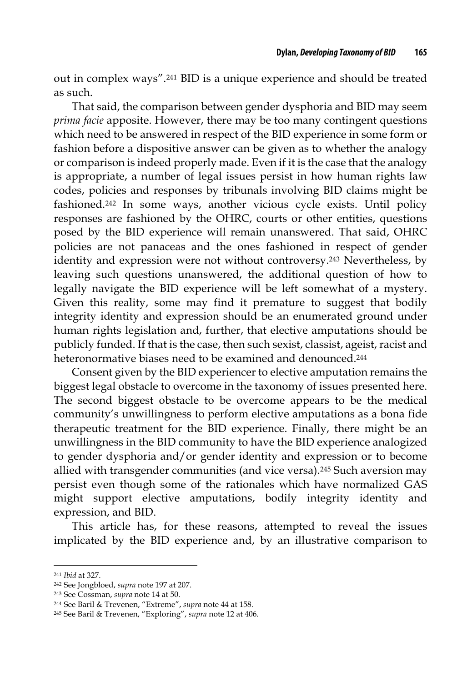out in complex ways".241 BID is a unique experience and should be treated as such.

That said, the comparison between gender dysphoria and BID may seem *prima facie* apposite. However, there may be too many contingent questions which need to be answered in respect of the BID experience in some form or fashion before a dispositive answer can be given as to whether the analogy or comparison is indeed properly made. Even if it is the case that the analogy is appropriate, a number of legal issues persist in how human rights law codes, policies and responses by tribunals involving BID claims might be fashioned.242 In some ways, another vicious cycle exists. Until policy responses are fashioned by the OHRC, courts or other entities, questions posed by the BID experience will remain unanswered. That said, OHRC policies are not panaceas and the ones fashioned in respect of gender identity and expression were not without controversy.243 Nevertheless, by leaving such questions unanswered, the additional question of how to legally navigate the BID experience will be left somewhat of a mystery. Given this reality, some may find it premature to suggest that bodily integrity identity and expression should be an enumerated ground under human rights legislation and, further, that elective amputations should be publicly funded. If that is the case, then such sexist, classist, ageist, racist and heteronormative biases need to be examined and denounced.244

Consent given by the BID experiencer to elective amputation remains the biggest legal obstacle to overcome in the taxonomy of issues presented here. The second biggest obstacle to be overcome appears to be the medical community's unwillingness to perform elective amputations as a bona fide therapeutic treatment for the BID experience. Finally, there might be an unwillingness in the BID community to have the BID experience analogized to gender dysphoria and/or gender identity and expression or to become allied with transgender communities (and vice versa).245 Such aversion may persist even though some of the rationales which have normalized GAS might support elective amputations, bodily integrity identity and expression, and BID.

This article has, for these reasons, attempted to reveal the issues implicated by the BID experience and, by an illustrative comparison to

<sup>241</sup> *Ibid* at 327.

<sup>242</sup> See Jongbloed, *supra* note 197 at 207.

<sup>243</sup> See Cossman, *supra* note 14 at 50.

<sup>244</sup> See Baril & Trevenen, "Extreme", *supra* note 44 at 158.

<sup>245</sup> See Baril & Trevenen, "Exploring", *supra* note 12 at 406.